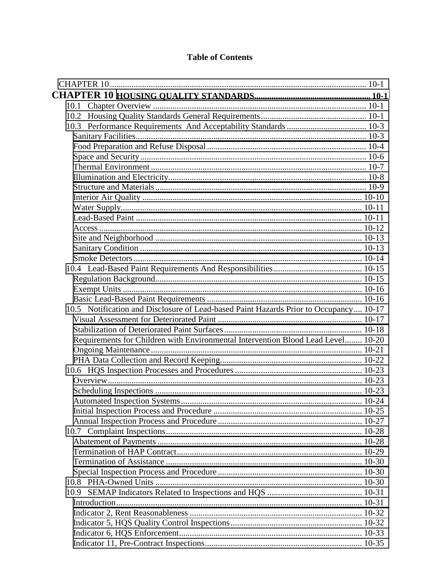## **Table of Contents**

| 10.1                                                                                  |  |
|---------------------------------------------------------------------------------------|--|
|                                                                                       |  |
|                                                                                       |  |
|                                                                                       |  |
|                                                                                       |  |
|                                                                                       |  |
|                                                                                       |  |
|                                                                                       |  |
|                                                                                       |  |
|                                                                                       |  |
|                                                                                       |  |
|                                                                                       |  |
|                                                                                       |  |
|                                                                                       |  |
|                                                                                       |  |
|                                                                                       |  |
|                                                                                       |  |
|                                                                                       |  |
|                                                                                       |  |
|                                                                                       |  |
| 10.5 Notification and Disclosure of Lead-based Paint Hazards Prior to Occupancy 10-17 |  |
|                                                                                       |  |
|                                                                                       |  |
| Requirements for Children with Environmental Intervention Blood Lead Level 10-20      |  |
|                                                                                       |  |
|                                                                                       |  |
|                                                                                       |  |
|                                                                                       |  |
|                                                                                       |  |
|                                                                                       |  |
|                                                                                       |  |
|                                                                                       |  |
|                                                                                       |  |
|                                                                                       |  |
|                                                                                       |  |
|                                                                                       |  |
|                                                                                       |  |
|                                                                                       |  |
|                                                                                       |  |
|                                                                                       |  |
|                                                                                       |  |
|                                                                                       |  |
|                                                                                       |  |
|                                                                                       |  |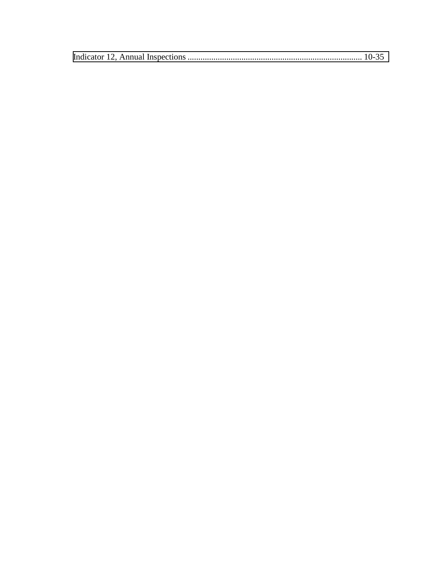|--|--|--|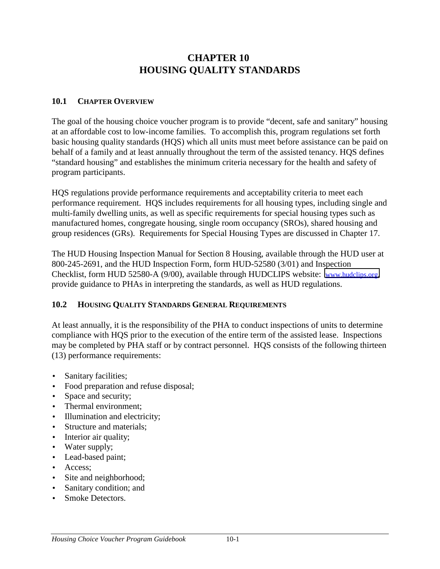# **CHAPTER 10 HOUSING QUALITY STANDARDS**

### <span id="page-2-0"></span>**10.1 CHAPTER OVERVIEW**

The goal of the housing choice voucher program is to provide "decent, safe and sanitary" housing at an affordable cost to low-income families. To accomplish this, program regulations set forth basic housing quality standards (HQS) which all units must meet before assistance can be paid on behalf of a family and at least annually throughout the term of the assisted tenancy. HQS defines "standard housing" and establishes the minimum criteria necessary for the health and safety of program participants.

HQS regulations provide performance requirements and acceptability criteria to meet each performance requirement. HQS includes requirements for all housing types, including single and multi-family dwelling units, as well as specific requirements for special housing types such as manufactured homes, congregate housing, single room occupancy (SROs), shared housing and group residences (GRs). Requirements for Special Housing Types are discussed in Chapter 17.

The HUD Housing Inspection Manual for Section 8 Housing, available through the HUD user at 800-245-2691, and the HUD Inspection Form, form HUD-52580 (3/01) and Inspection Checklist, form HUD 52580-A (9/00), available through HUDCLIPS website: [www.hudclips.org,](http://www.org/) provide guidance to PHAs in interpreting the standards, as well as HUD regulations.

## **10.2 HOUSING QUALITY STANDARDS GENERAL REQUIREMENTS**

At least annually, it is the responsibility of the PHA to conduct inspections of units to determine compliance with HQS prior to the execution of the entire term of the assisted lease. Inspections may be completed by PHA staff or by contract personnel. HQS consists of the following thirteen (13) performance requirements:

- Sanitary facilities;
- Food preparation and refuse disposal;
- Space and security;
- Thermal environment:
- Illumination and electricity:
- Structure and materials;
- Interior air quality;
- Water supply;
- Lead-based paint;
- Access:
- Site and neighborhood;
- Sanitary condition; and
- Smoke Detectors.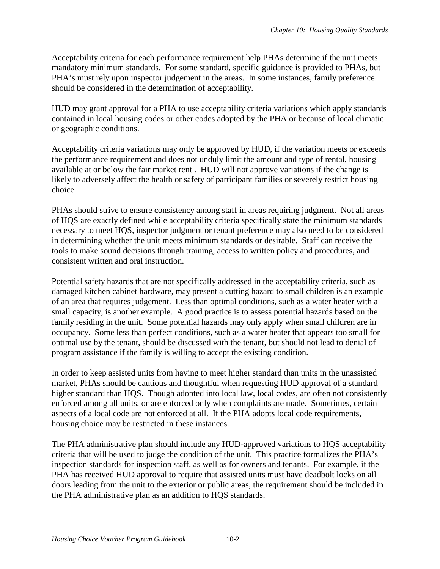Acceptability criteria for each performance requirement help PHAs determine if the unit meets mandatory minimum standards. For some standard, specific guidance is provided to PHAs, but PHA's must rely upon inspector judgement in the areas. In some instances, family preference should be considered in the determination of acceptability.

HUD may grant approval for a PHA to use acceptability criteria variations which apply standards contained in local housing codes or other codes adopted by the PHA or because of local climatic or geographic conditions.

Acceptability criteria variations may only be approved by HUD, if the variation meets or exceeds the performance requirement and does not unduly limit the amount and type of rental, housing available at or below the fair market rent . HUD will not approve variations if the change is likely to adversely affect the health or safety of participant families or severely restrict housing choice.

PHAs should strive to ensure consistency among staff in areas requiring judgment. Not all areas of HQS are exactly defined while acceptability criteria specifically state the minimum standards necessary to meet HQS, inspector judgment or tenant preference may also need to be considered in determining whether the unit meets minimum standards or desirable. Staff can receive the tools to make sound decisions through training, access to written policy and procedures, and consistent written and oral instruction.

Potential safety hazards that are not specifically addressed in the acceptability criteria, such as damaged kitchen cabinet hardware, may present a cutting hazard to small children is an example of an area that requires judgement. Less than optimal conditions, such as a water heater with a small capacity, is another example. A good practice is to assess potential hazards based on the family residing in the unit. Some potential hazards may only apply when small children are in occupancy. Some less than perfect conditions, such as a water heater that appears too small for optimal use by the tenant, should be discussed with the tenant, but should not lead to denial of program assistance if the family is willing to accept the existing condition.

In order to keep assisted units from having to meet higher standard than units in the unassisted market, PHAs should be cautious and thoughtful when requesting HUD approval of a standard higher standard than HQS. Though adopted into local law, local codes, are often not consistently enforced among all units, or are enforced only when complaints are made. Sometimes, certain aspects of a local code are not enforced at all. If the PHA adopts local code requirements, housing choice may be restricted in these instances.

The PHA administrative plan should include any HUD-approved variations to HQS acceptability criteria that will be used to judge the condition of the unit. This practice formalizes the PHA's inspection standards for inspection staff, as well as for owners and tenants. For example, if the PHA has received HUD approval to require that assisted units must have deadbolt locks on all doors leading from the unit to the exterior or public areas, the requirement should be included in the PHA administrative plan as an addition to HQS standards.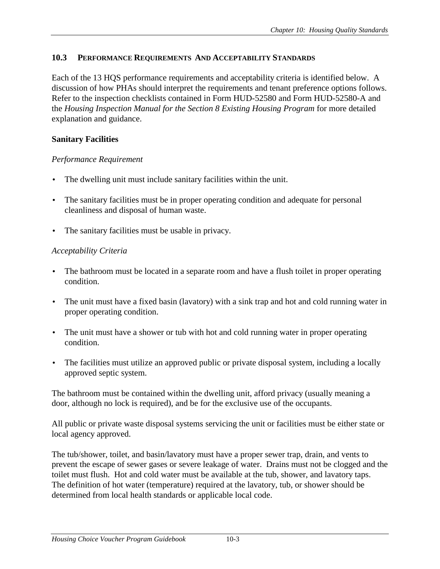## <span id="page-4-0"></span>**10.3 PERFORMANCE REQUIREMENTS AND ACCEPTABILITY STANDARDS**

Each of the 13 HQS performance requirements and acceptability criteria is identified below. A discussion of how PHAs should interpret the requirements and tenant preference options follows. Refer to the inspection checklists contained in Form HUD-52580 and Form HUD-52580-A and the *Housing Inspection Manual for the Section 8 Existing Housing Program* for more detailed explanation and guidance.

## **Sanitary Facilities**

## *Performance Requirement*

- The dwelling unit must include sanitary facilities within the unit.
- The sanitary facilities must be in proper operating condition and adequate for personal cleanliness and disposal of human waste.
- The sanitary facilities must be usable in privacy.

## *Acceptability Criteria*

- The bathroom must be located in a separate room and have a flush toilet in proper operating condition.
- The unit must have a fixed basin (lavatory) with a sink trap and hot and cold running water in proper operating condition.
- The unit must have a shower or tub with hot and cold running water in proper operating condition.
- The facilities must utilize an approved public or private disposal system, including a locally approved septic system.

The bathroom must be contained within the dwelling unit, afford privacy (usually meaning a door, although no lock is required), and be for the exclusive use of the occupants.

All public or private waste disposal systems servicing the unit or facilities must be either state or local agency approved.

The tub/shower, toilet, and basin/lavatory must have a proper sewer trap, drain, and vents to prevent the escape of sewer gases or severe leakage of water. Drains must not be clogged and the toilet must flush. Hot and cold water must be available at the tub, shower, and lavatory taps. The definition of hot water (temperature) required at the lavatory, tub, or shower should be determined from local health standards or applicable local code.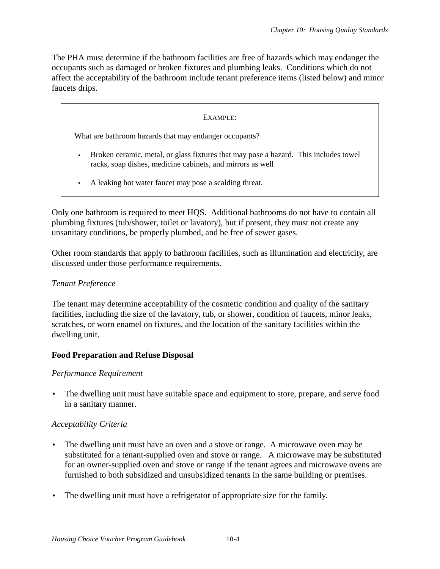<span id="page-5-0"></span>The PHA must determine if the bathroom facilities are free of hazards which may endanger the occupants such as damaged or broken fixtures and plumbing leaks. Conditions which do not affect the acceptability of the bathroom include tenant preference items (listed below) and minor faucets drips.

#### EXAMPLE:

What are bathroom hazards that may endanger occupants?

- Broken ceramic, metal, or glass fixtures that may pose a hazard. This includes towel racks, soap dishes, medicine cabinets, and mirrors as well
- A leaking hot water faucet may pose a scalding threat.

Only one bathroom is required to meet HQS. Additional bathrooms do not have to contain all plumbing fixtures (tub/shower, toilet or lavatory), but if present, they must not create any unsanitary conditions, be properly plumbed, and be free of sewer gases.

Other room standards that apply to bathroom facilities, such as illumination and electricity, are discussed under those performance requirements.

#### *Tenant Preference*

The tenant may determine acceptability of the cosmetic condition and quality of the sanitary facilities, including the size of the lavatory, tub, or shower, condition of faucets, minor leaks, scratches, or worn enamel on fixtures, and the location of the sanitary facilities within the dwelling unit.

#### **Food Preparation and Refuse Disposal**

#### *Performance Requirement*

• The dwelling unit must have suitable space and equipment to store, prepare, and serve food in a sanitary manner.

#### *Acceptability Criteria*

- The dwelling unit must have an oven and a stove or range. A microwave oven may be substituted for a tenant-supplied oven and stove or range. A microwave may be substituted for an owner-supplied oven and stove or range if the tenant agrees and microwave ovens are furnished to both subsidized and unsubsidized tenants in the same building or premises.
- The dwelling unit must have a refrigerator of appropriate size for the family.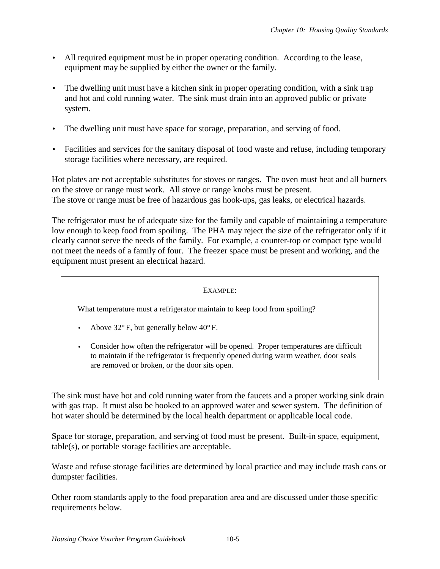- All required equipment must be in proper operating condition. According to the lease, equipment may be supplied by either the owner or the family.
- The dwelling unit must have a kitchen sink in proper operating condition, with a sink trap and hot and cold running water. The sink must drain into an approved public or private system.
- The dwelling unit must have space for storage, preparation, and serving of food.
- Facilities and services for the sanitary disposal of food waste and refuse, including temporary storage facilities where necessary, are required.

Hot plates are not acceptable substitutes for stoves or ranges. The oven must heat and all burners on the stove or range must work. All stove or range knobs must be present. The stove or range must be free of hazardous gas hook-ups, gas leaks, or electrical hazards.

The refrigerator must be of adequate size for the family and capable of maintaining a temperature low enough to keep food from spoiling. The PHA may reject the size of the refrigerator only if it clearly cannot serve the needs of the family. For example, a counter-top or compact type would not meet the needs of a family of four. The freezer space must be present and working, and the equipment must present an electrical hazard.

EXAMPLE:

What temperature must a refrigerator maintain to keep food from spoiling?

- Above  $32^{\circ}$  F, but generally below  $40^{\circ}$  F.
- Consider how often the refrigerator will be opened. Proper temperatures are difficult to maintain if the refrigerator is frequently opened during warm weather, door seals are removed or broken, or the door sits open.

The sink must have hot and cold running water from the faucets and a proper working sink drain with gas trap. It must also be hooked to an approved water and sewer system. The definition of hot water should be determined by the local health department or applicable local code.

Space for storage, preparation, and serving of food must be present. Built-in space, equipment, table(s), or portable storage facilities are acceptable.

Waste and refuse storage facilities are determined by local practice and may include trash cans or dumpster facilities.

Other room standards apply to the food preparation area and are discussed under those specific requirements below.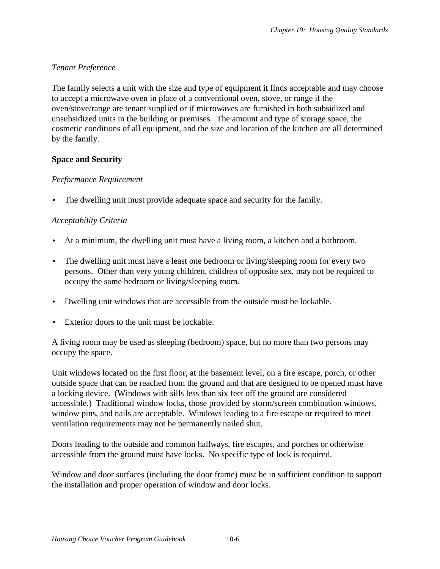# <span id="page-7-0"></span>*Tenant Preference*

The family selects a unit with the size and type of equipment it finds acceptable and may choose to accept a microwave oven in place of a conventional oven, stove, or range if the oven/stove/range are tenant supplied or if microwaves are furnished in both subsidized and unsubsidized units in the building or premises. The amount and type of storage space, the cosmetic conditions of all equipment, and the size and location of the kitchen are all determined by the family.

## **Space and Security**

## *Performance Requirement*

The dwelling unit must provide adequate space and security for the family.

# *Acceptability Criteria*

- At a minimum, the dwelling unit must have a living room, a kitchen and a bathroom.
- The dwelling unit must have a least one bedroom or living/sleeping room for every two persons. Other than very young children, children of opposite sex, may not be required to occupy the same bedroom or living/sleeping room.
- Dwelling unit windows that are accessible from the outside must be lockable.
- Exterior doors to the unit must be lockable.

A living room may be used as sleeping (bedroom) space, but no more than two persons may occupy the space.

Unit windows located on the first floor, at the basement level, on a fire escape, porch, or other outside space that can be reached from the ground and that are designed to be opened must have a locking device. (Windows with sills less than six feet off the ground are considered accessible.) Traditional window locks, those provided by storm/screen combination windows, window pins, and nails are acceptable. Windows leading to a fire escape or required to meet ventilation requirements may not be permanently nailed shut.

Doors leading to the outside and common hallways, fire escapes, and porches or otherwise accessible from the ground must have locks. No specific type of lock is required.

Window and door surfaces (including the door frame) must be in sufficient condition to support the installation and proper operation of window and door locks.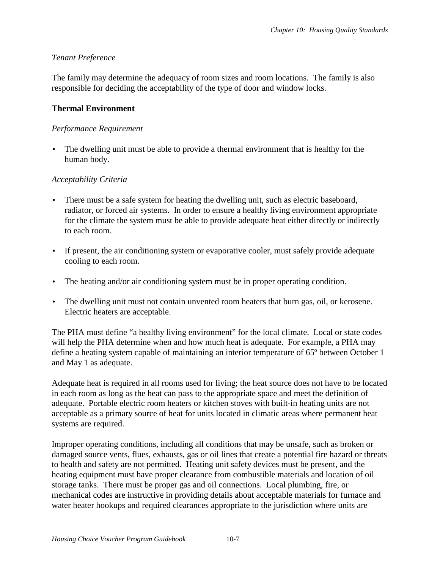## <span id="page-8-0"></span>*Tenant Preference*

The family may determine the adequacy of room sizes and room locations. The family is also responsible for deciding the acceptability of the type of door and window locks.

### **Thermal Environment**

#### *Performance Requirement*

The dwelling unit must be able to provide a thermal environment that is healthy for the human body.

### *Acceptability Criteria*

- There must be a safe system for heating the dwelling unit, such as electric baseboard, radiator, or forced air systems. In order to ensure a healthy living environment appropriate for the climate the system must be able to provide adequate heat either directly or indirectly to each room.
- If present, the air conditioning system or evaporative cooler, must safely provide adequate cooling to each room.
- The heating and/or air conditioning system must be in proper operating condition.
- The dwelling unit must not contain unvented room heaters that burn gas, oil, or kerosene. Electric heaters are acceptable.

The PHA must define "a healthy living environment" for the local climate. Local or state codes will help the PHA determine when and how much heat is adequate. For example, a PHA may define a heating system capable of maintaining an interior temperature of 65º between October 1 and May 1 as adequate.

Adequate heat is required in all rooms used for living; the heat source does not have to be located in each room as long as the heat can pass to the appropriate space and meet the definition of adequate. Portable electric room heaters or kitchen stoves with built-in heating units are not acceptable as a primary source of heat for units located in climatic areas where permanent heat systems are required.

Improper operating conditions, including all conditions that may be unsafe, such as broken or damaged source vents, flues, exhausts, gas or oil lines that create a potential fire hazard or threats to health and safety are not permitted. Heating unit safety devices must be present, and the heating equipment must have proper clearance from combustible materials and location of oil storage tanks. There must be proper gas and oil connections. Local plumbing, fire, or mechanical codes are instructive in providing details about acceptable materials for furnace and water heater hookups and required clearances appropriate to the jurisdiction where units are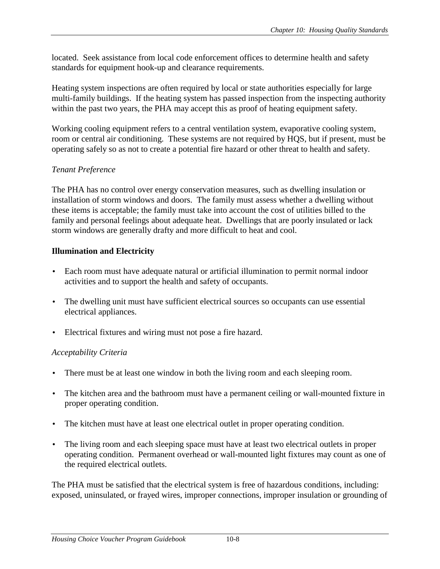<span id="page-9-0"></span>located. Seek assistance from local code enforcement offices to determine health and safety standards for equipment hook-up and clearance requirements.

Heating system inspections are often required by local or state authorities especially for large multi-family buildings. If the heating system has passed inspection from the inspecting authority within the past two years, the PHA may accept this as proof of heating equipment safety.

Working cooling equipment refers to a central ventilation system, evaporative cooling system, room or central air conditioning. These systems are not required by HQS, but if present, must be operating safely so as not to create a potential fire hazard or other threat to health and safety.

## *Tenant Preference*

The PHA has no control over energy conservation measures, such as dwelling insulation or installation of storm windows and doors. The family must assess whether a dwelling without these items is acceptable; the family must take into account the cost of utilities billed to the family and personal feelings about adequate heat. Dwellings that are poorly insulated or lack storm windows are generally drafty and more difficult to heat and cool.

# **Illumination and Electricity**

- Each room must have adequate natural or artificial illumination to permit normal indoor activities and to support the health and safety of occupants.
- The dwelling unit must have sufficient electrical sources so occupants can use essential electrical appliances.
- Electrical fixtures and wiring must not pose a fire hazard.

# *Acceptability Criteria*

- There must be at least one window in both the living room and each sleeping room.
- The kitchen area and the bathroom must have a permanent ceiling or wall-mounted fixture in proper operating condition.
- The kitchen must have at least one electrical outlet in proper operating condition.
- The living room and each sleeping space must have at least two electrical outlets in proper operating condition. Permanent overhead or wall-mounted light fixtures may count as one of the required electrical outlets.

The PHA must be satisfied that the electrical system is free of hazardous conditions, including: exposed, uninsulated, or frayed wires, improper connections, improper insulation or grounding of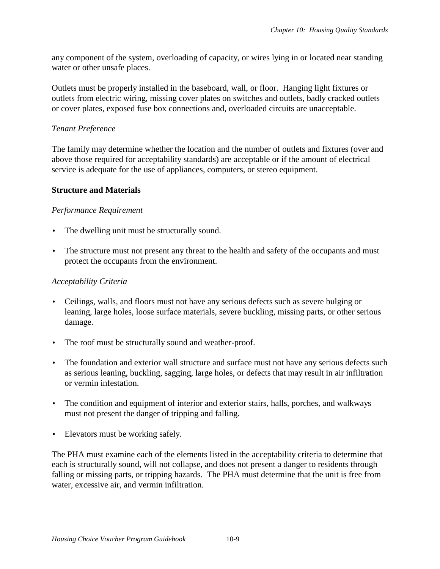<span id="page-10-0"></span>any component of the system, overloading of capacity, or wires lying in or located near standing water or other unsafe places.

Outlets must be properly installed in the baseboard, wall, or floor. Hanging light fixtures or outlets from electric wiring, missing cover plates on switches and outlets, badly cracked outlets or cover plates, exposed fuse box connections and, overloaded circuits are unacceptable.

## *Tenant Preference*

The family may determine whether the location and the number of outlets and fixtures (over and above those required for acceptability standards) are acceptable or if the amount of electrical service is adequate for the use of appliances, computers, or stereo equipment.

## **Structure and Materials**

## *Performance Requirement*

- The dwelling unit must be structurally sound.
- The structure must not present any threat to the health and safety of the occupants and must protect the occupants from the environment.

## *Acceptability Criteria*

- Ceilings, walls, and floors must not have any serious defects such as severe bulging or leaning, large holes, loose surface materials, severe buckling, missing parts, or other serious damage.
- The roof must be structurally sound and weather-proof.
- The foundation and exterior wall structure and surface must not have any serious defects such as serious leaning, buckling, sagging, large holes, or defects that may result in air infiltration or vermin infestation.
- The condition and equipment of interior and exterior stairs, halls, porches, and walkways must not present the danger of tripping and falling.
- Elevators must be working safely.

The PHA must examine each of the elements listed in the acceptability criteria to determine that each is structurally sound, will not collapse, and does not present a danger to residents through falling or missing parts, or tripping hazards. The PHA must determine that the unit is free from water, excessive air, and vermin infiltration.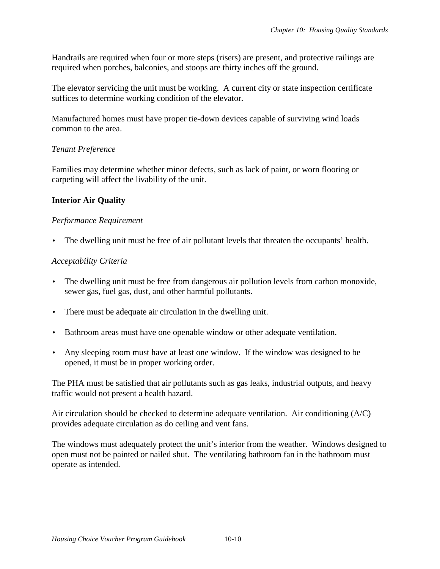<span id="page-11-0"></span>Handrails are required when four or more steps (risers) are present, and protective railings are required when porches, balconies, and stoops are thirty inches off the ground.

The elevator servicing the unit must be working. A current city or state inspection certificate suffices to determine working condition of the elevator.

Manufactured homes must have proper tie-down devices capable of surviving wind loads common to the area.

## *Tenant Preference*

Families may determine whether minor defects, such as lack of paint, or worn flooring or carpeting will affect the livability of the unit.

# **Interior Air Quality**

## *Performance Requirement*

The dwelling unit must be free of air pollutant levels that threaten the occupants' health.

## *Acceptability Criteria*

- The dwelling unit must be free from dangerous air pollution levels from carbon monoxide, sewer gas, fuel gas, dust, and other harmful pollutants.
- There must be adequate air circulation in the dwelling unit.
- Bathroom areas must have one openable window or other adequate ventilation.
- Any sleeping room must have at least one window. If the window was designed to be opened, it must be in proper working order.

The PHA must be satisfied that air pollutants such as gas leaks, industrial outputs, and heavy traffic would not present a health hazard.

Air circulation should be checked to determine adequate ventilation. Air conditioning (A/C) provides adequate circulation as do ceiling and vent fans.

The windows must adequately protect the unit's interior from the weather. Windows designed to open must not be painted or nailed shut. The ventilating bathroom fan in the bathroom must operate as intended.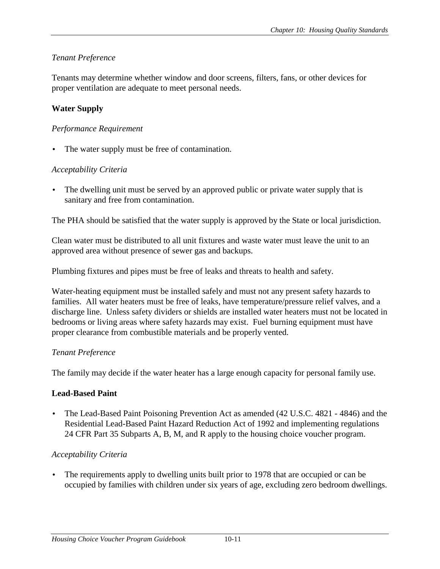## <span id="page-12-0"></span>*Tenant Preference*

Tenants may determine whether window and door screens, filters, fans, or other devices for proper ventilation are adequate to meet personal needs.

## **Water Supply**

### *Performance Requirement*

The water supply must be free of contamination.

## *Acceptability Criteria*

The dwelling unit must be served by an approved public or private water supply that is sanitary and free from contamination.

The PHA should be satisfied that the water supply is approved by the State or local jurisdiction.

Clean water must be distributed to all unit fixtures and waste water must leave the unit to an approved area without presence of sewer gas and backups.

Plumbing fixtures and pipes must be free of leaks and threats to health and safety.

Water-heating equipment must be installed safely and must not any present safety hazards to families. All water heaters must be free of leaks, have temperature/pressure relief valves, and a discharge line. Unless safety dividers or shields are installed water heaters must not be located in bedrooms or living areas where safety hazards may exist. Fuel burning equipment must have proper clearance from combustible materials and be properly vented.

## *Tenant Preference*

The family may decide if the water heater has a large enough capacity for personal family use.

#### **Lead-Based Paint**

• The Lead-Based Paint Poisoning Prevention Act as amended (42 U.S.C. 4821 - 4846) and the Residential Lead-Based Paint Hazard Reduction Act of 1992 and implementing regulations 24 CFR Part 35 Subparts A, B, M, and R apply to the housing choice voucher program.

## *Acceptability Criteria*

• The requirements apply to dwelling units built prior to 1978 that are occupied or can be occupied by families with children under six years of age, excluding zero bedroom dwellings.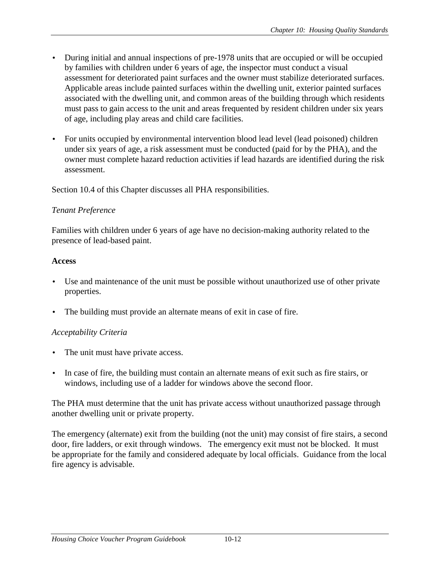- <span id="page-13-0"></span>• During initial and annual inspections of pre-1978 units that are occupied or will be occupied by families with children under 6 years of age, the inspector must conduct a visual assessment for deteriorated paint surfaces and the owner must stabilize deteriorated surfaces. Applicable areas include painted surfaces within the dwelling unit, exterior painted surfaces associated with the dwelling unit, and common areas of the building through which residents must pass to gain access to the unit and areas frequented by resident children under six years of age, including play areas and child care facilities.
- For units occupied by environmental intervention blood lead level (lead poisoned) children under six years of age, a risk assessment must be conducted (paid for by the PHA), and the owner must complete hazard reduction activities if lead hazards are identified during the risk assessment.

Section 10.4 of this Chapter discusses all PHA responsibilities.

## *Tenant Preference*

Families with children under 6 years of age have no decision-making authority related to the presence of lead-based paint.

## **Access**

- Use and maintenance of the unit must be possible without unauthorized use of other private properties.
- The building must provide an alternate means of exit in case of fire.

# *Acceptability Criteria*

- The unit must have private access.
- In case of fire, the building must contain an alternate means of exit such as fire stairs, or windows, including use of a ladder for windows above the second floor.

The PHA must determine that the unit has private access without unauthorized passage through another dwelling unit or private property.

The emergency (alternate) exit from the building (not the unit) may consist of fire stairs, a second door, fire ladders, or exit through windows. The emergency exit must not be blocked. It must be appropriate for the family and considered adequate by local officials. Guidance from the local fire agency is advisable.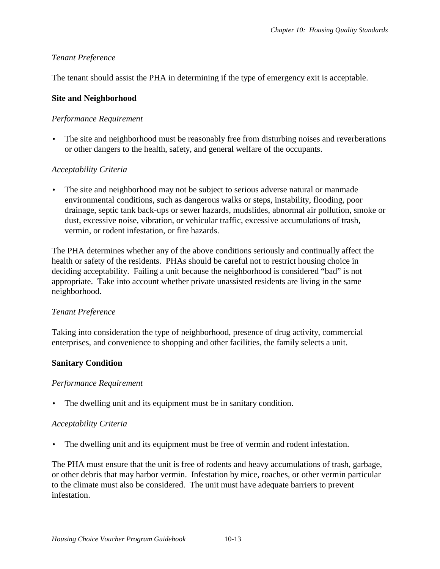## <span id="page-14-0"></span>*Tenant Preference*

The tenant should assist the PHA in determining if the type of emergency exit is acceptable.

### **Site and Neighborhood**

### *Performance Requirement*

The site and neighborhood must be reasonably free from disturbing noises and reverberations or other dangers to the health, safety, and general welfare of the occupants.

## *Acceptability Criteria*

The site and neighborhood may not be subject to serious adverse natural or manmade environmental conditions, such as dangerous walks or steps, instability, flooding, poor drainage, septic tank back-ups or sewer hazards, mudslides, abnormal air pollution, smoke or dust, excessive noise, vibration, or vehicular traffic, excessive accumulations of trash, vermin, or rodent infestation, or fire hazards.

The PHA determines whether any of the above conditions seriously and continually affect the health or safety of the residents. PHAs should be careful not to restrict housing choice in deciding acceptability. Failing a unit because the neighborhood is considered "bad" is not appropriate. Take into account whether private unassisted residents are living in the same neighborhood.

#### *Tenant Preference*

Taking into consideration the type of neighborhood, presence of drug activity, commercial enterprises, and convenience to shopping and other facilities, the family selects a unit.

## **Sanitary Condition**

#### *Performance Requirement*

The dwelling unit and its equipment must be in sanitary condition.

#### *Acceptability Criteria*

The dwelling unit and its equipment must be free of vermin and rodent infestation.

The PHA must ensure that the unit is free of rodents and heavy accumulations of trash, garbage, or other debris that may harbor vermin. Infestation by mice, roaches, or other vermin particular to the climate must also be considered. The unit must have adequate barriers to prevent infestation.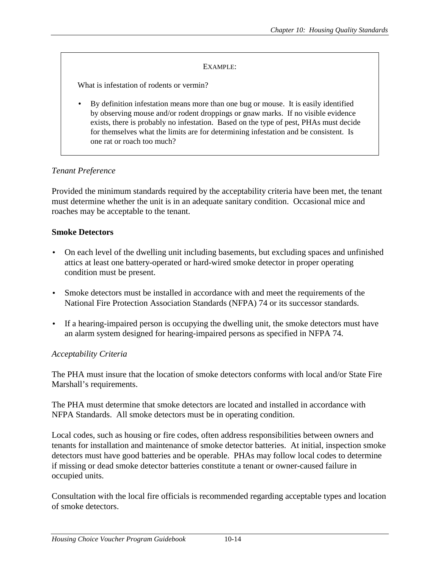#### EXAMPLE:

<span id="page-15-0"></span>What is infestation of rodents or vermin?

• By definition infestation means more than one bug or mouse. It is easily identified by observing mouse and/or rodent droppings or gnaw marks. If no visible evidence exists, there is probably no infestation. Based on the type of pest, PHAs must decide for themselves what the limits are for determining infestation and be consistent. Is one rat or roach too much?

#### *Tenant Preference*

Provided the minimum standards required by the acceptability criteria have been met, the tenant must determine whether the unit is in an adequate sanitary condition. Occasional mice and roaches may be acceptable to the tenant.

#### **Smoke Detectors**

- On each level of the dwelling unit including basements, but excluding spaces and unfinished attics at least one battery-operated or hard-wired smoke detector in proper operating condition must be present.
- Smoke detectors must be installed in accordance with and meet the requirements of the National Fire Protection Association Standards (NFPA) 74 or its successor standards.
- If a hearing-impaired person is occupying the dwelling unit, the smoke detectors must have an alarm system designed for hearing-impaired persons as specified in NFPA 74.

#### *Acceptability Criteria*

The PHA must insure that the location of smoke detectors conforms with local and/or State Fire Marshall's requirements.

The PHA must determine that smoke detectors are located and installed in accordance with NFPA Standards. All smoke detectors must be in operating condition.

Local codes, such as housing or fire codes, often address responsibilities between owners and tenants for installation and maintenance of smoke detector batteries. At initial, inspection smoke detectors must have good batteries and be operable. PHAs may follow local codes to determine if missing or dead smoke detector batteries constitute a tenant or owner-caused failure in occupied units.

Consultation with the local fire officials is recommended regarding acceptable types and location of smoke detectors.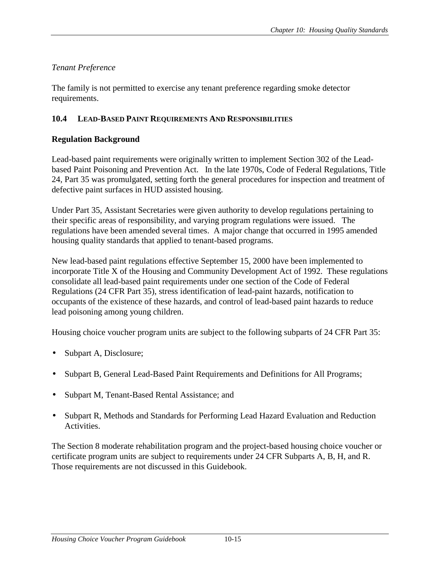## <span id="page-16-0"></span>*Tenant Preference*

The family is not permitted to exercise any tenant preference regarding smoke detector requirements.

## **10.4 LEAD-BASED PAINT REQUIREMENTS AND RESPONSIBILITIES**

## **Regulation Background**

Lead-based paint requirements were originally written to implement Section 302 of the Leadbased Paint Poisoning and Prevention Act. In the late 1970s, Code of Federal Regulations, Title 24, Part 35 was promulgated, setting forth the general procedures for inspection and treatment of defective paint surfaces in HUD assisted housing.

Under Part 35, Assistant Secretaries were given authority to develop regulations pertaining to their specific areas of responsibility, and varying program regulations were issued. The regulations have been amended several times. A major change that occurred in 1995 amended housing quality standards that applied to tenant-based programs.

New lead-based paint regulations effective September 15, 2000 have been implemented to incorporate Title X of the Housing and Community Development Act of 1992. These regulations consolidate all lead-based paint requirements under one section of the Code of Federal Regulations (24 CFR Part 35), stress identification of lead-paint hazards, notification to occupants of the existence of these hazards, and control of lead-based paint hazards to reduce lead poisoning among young children.

Housing choice voucher program units are subject to the following subparts of 24 CFR Part 35:

- Subpart A, Disclosure;
- Subpart B, General Lead-Based Paint Requirements and Definitions for All Programs;
- Subpart M, Tenant-Based Rental Assistance; and
- Subpart R, Methods and Standards for Performing Lead Hazard Evaluation and Reduction Activities.

The Section 8 moderate rehabilitation program and the project-based housing choice voucher or certificate program units are subject to requirements under 24 CFR Subparts A, B, H, and R. Those requirements are not discussed in this Guidebook.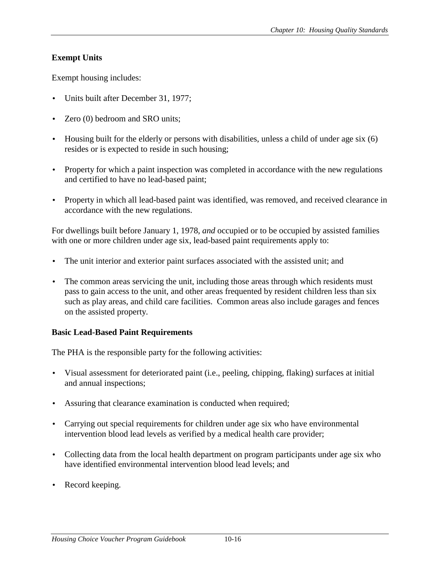# <span id="page-17-0"></span>**Exempt Units**

Exempt housing includes:

- Units built after December 31, 1977;
- Zero (0) bedroom and SRO units;
- Housing built for the elderly or persons with disabilities, unless a child of under age six (6) resides or is expected to reside in such housing;
- Property for which a paint inspection was completed in accordance with the new regulations and certified to have no lead-based paint;
- Property in which all lead-based paint was identified, was removed, and received clearance in accordance with the new regulations.

For dwellings built before January 1, 1978, *and* occupied or to be occupied by assisted families with one or more children under age six, lead-based paint requirements apply to:

- The unit interior and exterior paint surfaces associated with the assisted unit; and
- The common areas servicing the unit, including those areas through which residents must pass to gain access to the unit, and other areas frequented by resident children less than six such as play areas, and child care facilities. Common areas also include garages and fences on the assisted property.

## **Basic Lead-Based Paint Requirements**

The PHA is the responsible party for the following activities:

- Visual assessment for deteriorated paint (i.e., peeling, chipping, flaking) surfaces at initial and annual inspections;
- Assuring that clearance examination is conducted when required;
- Carrying out special requirements for children under age six who have environmental intervention blood lead levels as verified by a medical health care provider;
- Collecting data from the local health department on program participants under age six who have identified environmental intervention blood lead levels; and
- Record keeping.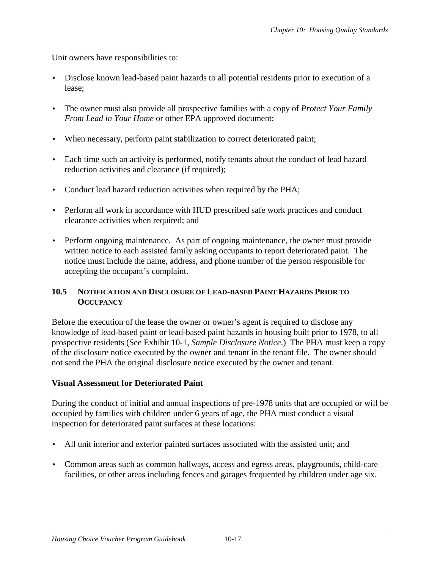<span id="page-18-0"></span>Unit owners have responsibilities to:

- Disclose known lead-based paint hazards to all potential residents prior to execution of a lease;
- The owner must also provide all prospective families with a copy of *Protect Your Family From Lead in Your Home* or other EPA approved document;
- When necessary, perform paint stabilization to correct deteriorated paint;
- Each time such an activity is performed, notify tenants about the conduct of lead hazard reduction activities and clearance (if required);
- Conduct lead hazard reduction activities when required by the PHA;
- Perform all work in accordance with HUD prescribed safe work practices and conduct clearance activities when required; and
- Perform ongoing maintenance. As part of ongoing maintenance, the owner must provide written notice to each assisted family asking occupants to report deteriorated paint. The notice must include the name, address, and phone number of the person responsible for accepting the occupant's complaint.

### **10.5 NOTIFICATION AND DISCLOSURE OF LEAD-BASED PAINT HAZARDS PRIOR TO OCCUPANCY**

Before the execution of the lease the owner or owner's agent is required to disclose any knowledge of lead-based paint or lead-based paint hazards in housing built prior to 1978, to all prospective residents (See Exhibit 10-1, *Sample Disclosure Notice*.) The PHA must keep a copy of the disclosure notice executed by the owner and tenant in the tenant file. The owner should not send the PHA the original disclosure notice executed by the owner and tenant.

## **Visual Assessment for Deteriorated Paint**

During the conduct of initial and annual inspections of pre-1978 units that are occupied or will be occupied by families with children under 6 years of age, the PHA must conduct a visual inspection for deteriorated paint surfaces at these locations:

- All unit interior and exterior painted surfaces associated with the assisted unit; and
- Common areas such as common hallways, access and egress areas, playgrounds, child-care facilities, or other areas including fences and garages frequented by children under age six.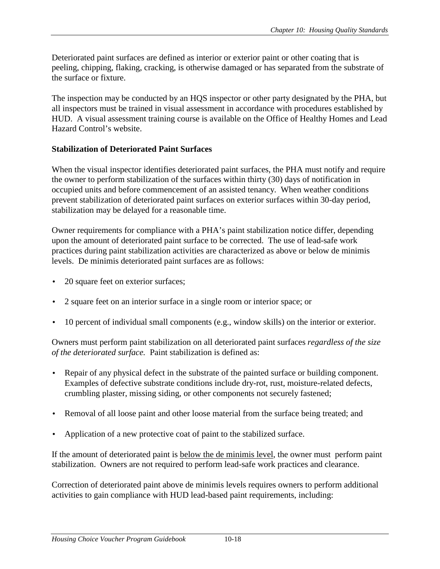<span id="page-19-0"></span>Deteriorated paint surfaces are defined as interior or exterior paint or other coating that is peeling, chipping, flaking, cracking, is otherwise damaged or has separated from the substrate of the surface or fixture.

The inspection may be conducted by an HQS inspector or other party designated by the PHA, but all inspectors must be trained in visual assessment in accordance with procedures established by HUD. A visual assessment training course is available on the Office of Healthy Homes and Lead Hazard Control's website.

## **Stabilization of Deteriorated Paint Surfaces**

When the visual inspector identifies deteriorated paint surfaces, the PHA must notify and require the owner to perform stabilization of the surfaces within thirty (30) days of notification in occupied units and before commencement of an assisted tenancy. When weather conditions prevent stabilization of deteriorated paint surfaces on exterior surfaces within 30-day period, stabilization may be delayed for a reasonable time.

Owner requirements for compliance with a PHA's paint stabilization notice differ, depending upon the amount of deteriorated paint surface to be corrected. The use of lead-safe work practices during paint stabilization activities are characterized as above or below de minimis levels. De minimis deteriorated paint surfaces are as follows:

- 20 square feet on exterior surfaces;
- 2 square feet on an interior surface in a single room or interior space; or
- 10 percent of individual small components (e.g., window skills) on the interior or exterior.

Owners must perform paint stabilization on all deteriorated paint surfaces *regardless of the size of the deteriorated surface.* Paint stabilization is defined as:

- Repair of any physical defect in the substrate of the painted surface or building component. Examples of defective substrate conditions include dry-rot, rust, moisture-related defects, crumbling plaster, missing siding, or other components not securely fastened;
- Removal of all loose paint and other loose material from the surface being treated; and
- Application of a new protective coat of paint to the stabilized surface.

If the amount of deteriorated paint is below the de minimis level, the owner must perform paint stabilization. Owners are not required to perform lead-safe work practices and clearance.

Correction of deteriorated paint above de minimis levels requires owners to perform additional activities to gain compliance with HUD lead-based paint requirements, including: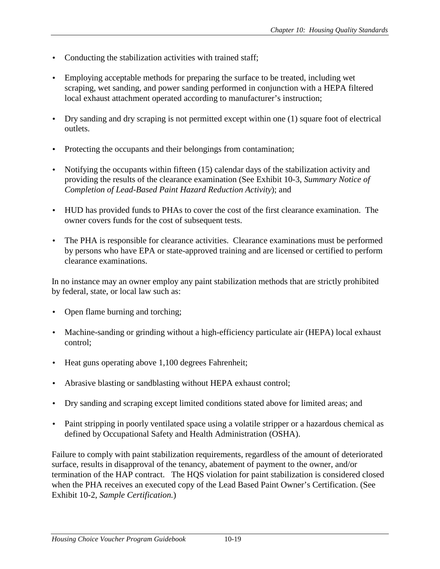- Conducting the stabilization activities with trained staff;
- Employing acceptable methods for preparing the surface to be treated, including wet scraping, wet sanding, and power sanding performed in conjunction with a HEPA filtered local exhaust attachment operated according to manufacturer's instruction;
- Dry sanding and dry scraping is not permitted except within one (1) square foot of electrical outlets.
- Protecting the occupants and their belongings from contamination;
- Notifying the occupants within fifteen (15) calendar days of the stabilization activity and providing the results of the clearance examination (See Exhibit 10-3, *Summary Notice of Completion of Lead-Based Paint Hazard Reduction Activity*); and
- HUD has provided funds to PHAs to cover the cost of the first clearance examination. The owner covers funds for the cost of subsequent tests.
- The PHA is responsible for clearance activities. Clearance examinations must be performed by persons who have EPA or state-approved training and are licensed or certified to perform clearance examinations.

In no instance may an owner employ any paint stabilization methods that are strictly prohibited by federal, state, or local law such as:

- Open flame burning and torching;
- Machine-sanding or grinding without a high-efficiency particulate air (HEPA) local exhaust control;
- Heat guns operating above 1,100 degrees Fahrenheit;
- Abrasive blasting or sandblasting without HEPA exhaust control;
- Dry sanding and scraping except limited conditions stated above for limited areas; and
- Paint stripping in poorly ventilated space using a volatile stripper or a hazardous chemical as defined by Occupational Safety and Health Administration (OSHA).

Failure to comply with paint stabilization requirements, regardless of the amount of deteriorated surface, results in disapproval of the tenancy, abatement of payment to the owner, and/or termination of the HAP contract. The HQS violation for paint stabilization is considered closed when the PHA receives an executed copy of the Lead Based Paint Owner's Certification. (See Exhibit 10-2, *Sample Certification.*)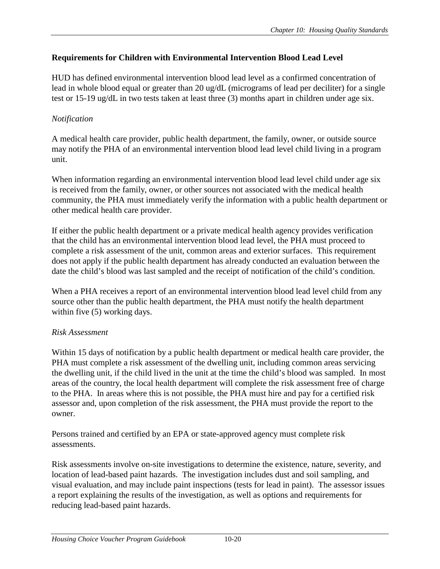## <span id="page-21-0"></span>**Requirements for Children with Environmental Intervention Blood Lead Level**

HUD has defined environmental intervention blood lead level as a confirmed concentration of lead in whole blood equal or greater than 20 ug/dL (micrograms of lead per deciliter) for a single test or 15-19 ug/dL in two tests taken at least three (3) months apart in children under age six.

## *Notification*

A medical health care provider, public health department, the family, owner, or outside source may notify the PHA of an environmental intervention blood lead level child living in a program unit.

When information regarding an environmental intervention blood lead level child under age six is received from the family, owner, or other sources not associated with the medical health community, the PHA must immediately verify the information with a public health department or other medical health care provider.

If either the public health department or a private medical health agency provides verification that the child has an environmental intervention blood lead level, the PHA must proceed to complete a risk assessment of the unit, common areas and exterior surfaces. This requirement does not apply if the public health department has already conducted an evaluation between the date the child's blood was last sampled and the receipt of notification of the child's condition.

When a PHA receives a report of an environmental intervention blood lead level child from any source other than the public health department, the PHA must notify the health department within five  $(5)$  working days.

## *Risk Assessment*

Within 15 days of notification by a public health department or medical health care provider, the PHA must complete a risk assessment of the dwelling unit, including common areas servicing the dwelling unit, if the child lived in the unit at the time the child's blood was sampled. In most areas of the country, the local health department will complete the risk assessment free of charge to the PHA. In areas where this is not possible, the PHA must hire and pay for a certified risk assessor and, upon completion of the risk assessment, the PHA must provide the report to the owner.

Persons trained and certified by an EPA or state-approved agency must complete risk assessments.

Risk assessments involve on-site investigations to determine the existence, nature, severity, and location of lead-based paint hazards. The investigation includes dust and soil sampling, and visual evaluation, and may include paint inspections (tests for lead in paint). The assessor issues a report explaining the results of the investigation, as well as options and requirements for reducing lead-based paint hazards.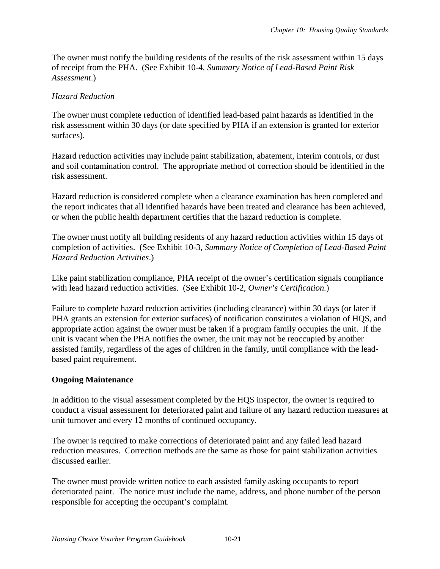<span id="page-22-0"></span>The owner must notify the building residents of the results of the risk assessment within 15 days of receipt from the PHA. (See Exhibit 10-4, *Summary Notice of Lead-Based Paint Risk Assessment*.)

## *Hazard Reduction*

The owner must complete reduction of identified lead-based paint hazards as identified in the risk assessment within 30 days (or date specified by PHA if an extension is granted for exterior surfaces).

Hazard reduction activities may include paint stabilization, abatement, interim controls, or dust and soil contamination control. The appropriate method of correction should be identified in the risk assessment.

Hazard reduction is considered complete when a clearance examination has been completed and the report indicates that all identified hazards have been treated and clearance has been achieved, or when the public health department certifies that the hazard reduction is complete.

The owner must notify all building residents of any hazard reduction activities within 15 days of completion of activities. (See Exhibit 10-3, *Summary Notice of Completion of Lead-Based Paint Hazard Reduction Activities*.)

Like paint stabilization compliance, PHA receipt of the owner's certification signals compliance with lead hazard reduction activities. (See Exhibit 10-2, *Owner's Certification.*)

Failure to complete hazard reduction activities (including clearance) within 30 days (or later if PHA grants an extension for exterior surfaces) of notification constitutes a violation of HQS, and appropriate action against the owner must be taken if a program family occupies the unit. If the unit is vacant when the PHA notifies the owner, the unit may not be reoccupied by another assisted family, regardless of the ages of children in the family, until compliance with the leadbased paint requirement.

# **Ongoing Maintenance**

In addition to the visual assessment completed by the HQS inspector, the owner is required to conduct a visual assessment for deteriorated paint and failure of any hazard reduction measures at unit turnover and every 12 months of continued occupancy.

The owner is required to make corrections of deteriorated paint and any failed lead hazard reduction measures. Correction methods are the same as those for paint stabilization activities discussed earlier.

The owner must provide written notice to each assisted family asking occupants to report deteriorated paint. The notice must include the name, address, and phone number of the person responsible for accepting the occupant's complaint.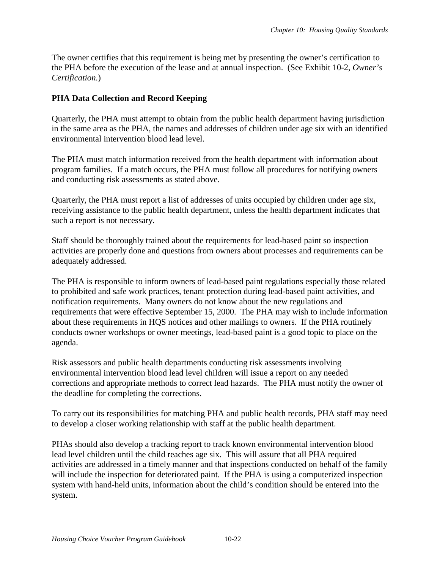<span id="page-23-0"></span>The owner certifies that this requirement is being met by presenting the owner's certification to the PHA before the execution of the lease and at annual inspection. (See Exhibit 10-2, *Owner's Certification.*)

# **PHA Data Collection and Record Keeping**

Quarterly, the PHA must attempt to obtain from the public health department having jurisdiction in the same area as the PHA, the names and addresses of children under age six with an identified environmental intervention blood lead level.

The PHA must match information received from the health department with information about program families. If a match occurs, the PHA must follow all procedures for notifying owners and conducting risk assessments as stated above.

Quarterly, the PHA must report a list of addresses of units occupied by children under age six, receiving assistance to the public health department, unless the health department indicates that such a report is not necessary.

Staff should be thoroughly trained about the requirements for lead-based paint so inspection activities are properly done and questions from owners about processes and requirements can be adequately addressed.

The PHA is responsible to inform owners of lead-based paint regulations especially those related to prohibited and safe work practices, tenant protection during lead-based paint activities, and notification requirements. Many owners do not know about the new regulations and requirements that were effective September 15, 2000. The PHA may wish to include information about these requirements in HQS notices and other mailings to owners. If the PHA routinely conducts owner workshops or owner meetings, lead-based paint is a good topic to place on the agenda.

Risk assessors and public health departments conducting risk assessments involving environmental intervention blood lead level children will issue a report on any needed corrections and appropriate methods to correct lead hazards. The PHA must notify the owner of the deadline for completing the corrections.

To carry out its responsibilities for matching PHA and public health records, PHA staff may need to develop a closer working relationship with staff at the public health department.

PHAs should also develop a tracking report to track known environmental intervention blood lead level children until the child reaches age six. This will assure that all PHA required activities are addressed in a timely manner and that inspections conducted on behalf of the family will include the inspection for deteriorated paint. If the PHA is using a computerized inspection system with hand-held units, information about the child's condition should be entered into the system.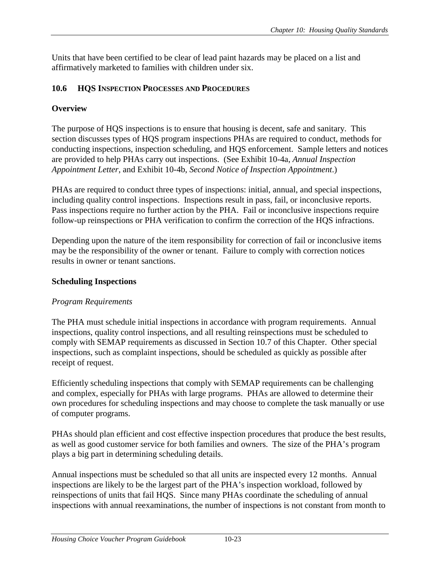<span id="page-24-0"></span>Units that have been certified to be clear of lead paint hazards may be placed on a list and affirmatively marketed to families with children under six.

## **10.6 HQS INSPECTION PROCESSES AND PROCEDURES**

# **Overview**

The purpose of HQS inspections is to ensure that housing is decent, safe and sanitary. This section discusses types of HQS program inspections PHAs are required to conduct, methods for conducting inspections, inspection scheduling, and HQS enforcement. Sample letters and notices are provided to help PHAs carry out inspections. (See Exhibit 10-4a, *Annual Inspection Appointment Letter*, and Exhibit 10-4b, *Second Notice of Inspection Appointment*.)

PHAs are required to conduct three types of inspections: initial, annual, and special inspections, including quality control inspections. Inspections result in pass, fail, or inconclusive reports. Pass inspections require no further action by the PHA. Fail or inconclusive inspections require follow-up reinspections or PHA verification to confirm the correction of the HQS infractions.

Depending upon the nature of the item responsibility for correction of fail or inconclusive items may be the responsibility of the owner or tenant. Failure to comply with correction notices results in owner or tenant sanctions.

## **Scheduling Inspections**

# *Program Requirements*

The PHA must schedule initial inspections in accordance with program requirements. Annual inspections, quality control inspections, and all resulting reinspections must be scheduled to comply with SEMAP requirements as discussed in Section 10.7 of this Chapter. Other special inspections, such as complaint inspections, should be scheduled as quickly as possible after receipt of request.

Efficiently scheduling inspections that comply with SEMAP requirements can be challenging and complex, especially for PHAs with large programs. PHAs are allowed to determine their own procedures for scheduling inspections and may choose to complete the task manually or use of computer programs.

PHAs should plan efficient and cost effective inspection procedures that produce the best results, as well as good customer service for both families and owners. The size of the PHA's program plays a big part in determining scheduling details.

Annual inspections must be scheduled so that all units are inspected every 12 months. Annual inspections are likely to be the largest part of the PHA's inspection workload, followed by reinspections of units that fail HQS. Since many PHAs coordinate the scheduling of annual inspections with annual reexaminations, the number of inspections is not constant from month to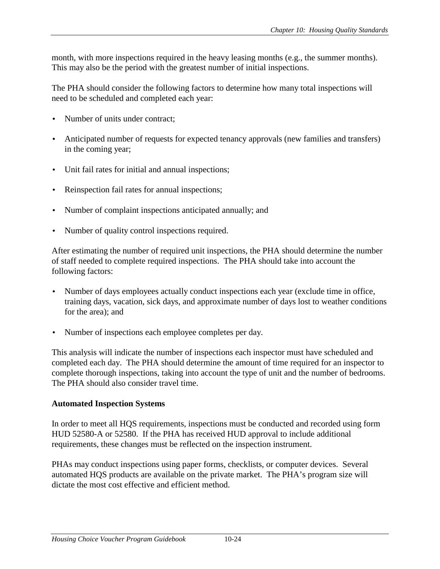<span id="page-25-0"></span>month, with more inspections required in the heavy leasing months (e.g., the summer months). This may also be the period with the greatest number of initial inspections.

The PHA should consider the following factors to determine how many total inspections will need to be scheduled and completed each year:

- Number of units under contract;
- Anticipated number of requests for expected tenancy approvals (new families and transfers) in the coming year;
- Unit fail rates for initial and annual inspections;
- Reinspection fail rates for annual inspections;
- Number of complaint inspections anticipated annually; and
- Number of quality control inspections required.

After estimating the number of required unit inspections, the PHA should determine the number of staff needed to complete required inspections. The PHA should take into account the following factors:

- Number of days employees actually conduct inspections each year (exclude time in office, training days, vacation, sick days, and approximate number of days lost to weather conditions for the area); and
- Number of inspections each employee completes per day.

This analysis will indicate the number of inspections each inspector must have scheduled and completed each day. The PHA should determine the amount of time required for an inspector to complete thorough inspections, taking into account the type of unit and the number of bedrooms. The PHA should also consider travel time.

#### **Automated Inspection Systems**

In order to meet all HQS requirements, inspections must be conducted and recorded using form HUD 52580-A or 52580. If the PHA has received HUD approval to include additional requirements, these changes must be reflected on the inspection instrument.

PHAs may conduct inspections using paper forms, checklists, or computer devices. Several automated HQS products are available on the private market. The PHA's program size will dictate the most cost effective and efficient method.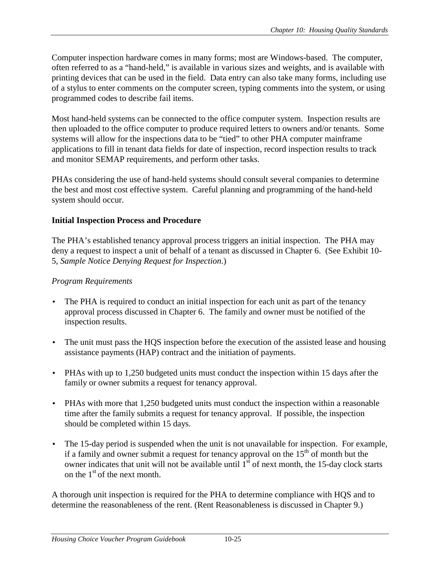<span id="page-26-0"></span>Computer inspection hardware comes in many forms; most are Windows-based. The computer, often referred to as a "hand-held," is available in various sizes and weights, and is available with printing devices that can be used in the field. Data entry can also take many forms, including use of a stylus to enter comments on the computer screen, typing comments into the system, or using programmed codes to describe fail items.

Most hand-held systems can be connected to the office computer system. Inspection results are then uploaded to the office computer to produce required letters to owners and/or tenants. Some systems will allow for the inspections data to be "tied" to other PHA computer mainframe applications to fill in tenant data fields for date of inspection, record inspection results to track and monitor SEMAP requirements, and perform other tasks.

PHAs considering the use of hand-held systems should consult several companies to determine the best and most cost effective system. Careful planning and programming of the hand-held system should occur.

## **Initial Inspection Process and Procedure**

The PHA's established tenancy approval process triggers an initial inspection. The PHA may deny a request to inspect a unit of behalf of a tenant as discussed in Chapter 6. (See Exhibit 10- 5, *Sample Notice Denying Request for Inspection*.)

# *Program Requirements*

- The PHA is required to conduct an initial inspection for each unit as part of the tenancy approval process discussed in Chapter 6. The family and owner must be notified of the inspection results.
- The unit must pass the HQS inspection before the execution of the assisted lease and housing assistance payments (HAP) contract and the initiation of payments.
- PHAs with up to 1,250 budgeted units must conduct the inspection within 15 days after the family or owner submits a request for tenancy approval.
- PHAs with more that 1,250 budgeted units must conduct the inspection within a reasonable time after the family submits a request for tenancy approval. If possible, the inspection should be completed within 15 days.
- The 15-day period is suspended when the unit is not unavailable for inspection. For example, if a family and owner submit a request for tenancy approval on the  $15<sup>th</sup>$  of month but the owner indicates that unit will not be available until  $1<sup>st</sup>$  of next month, the 15-day clock starts on the  $1<sup>st</sup>$  of the next month.

A thorough unit inspection is required for the PHA to determine compliance with HQS and to determine the reasonableness of the rent. (Rent Reasonableness is discussed in Chapter 9.)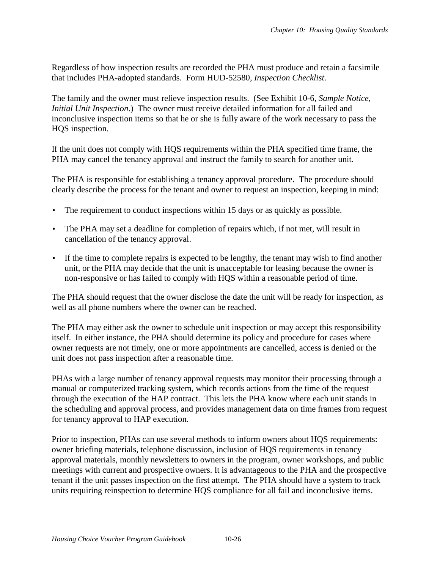Regardless of how inspection results are recorded the PHA must produce and retain a facsimile that includes PHA-adopted standards. Form HUD-52580, *Inspection Checklist*.

The family and the owner must relieve inspection results. (See Exhibit 10-6, *Sample Notice, Initial Unit Inspection*.) The owner must receive detailed information for all failed and inconclusive inspection items so that he or she is fully aware of the work necessary to pass the HQS inspection.

If the unit does not comply with HQS requirements within the PHA specified time frame, the PHA may cancel the tenancy approval and instruct the family to search for another unit.

The PHA is responsible for establishing a tenancy approval procedure. The procedure should clearly describe the process for the tenant and owner to request an inspection, keeping in mind:

- The requirement to conduct inspections within 15 days or as quickly as possible.
- The PHA may set a deadline for completion of repairs which, if not met, will result in cancellation of the tenancy approval.
- If the time to complete repairs is expected to be lengthy, the tenant may wish to find another unit, or the PHA may decide that the unit is unacceptable for leasing because the owner is non-responsive or has failed to comply with HQS within a reasonable period of time.

The PHA should request that the owner disclose the date the unit will be ready for inspection, as well as all phone numbers where the owner can be reached.

The PHA may either ask the owner to schedule unit inspection or may accept this responsibility itself. In either instance, the PHA should determine its policy and procedure for cases where owner requests are not timely, one or more appointments are cancelled, access is denied or the unit does not pass inspection after a reasonable time.

PHAs with a large number of tenancy approval requests may monitor their processing through a manual or computerized tracking system, which records actions from the time of the request through the execution of the HAP contract. This lets the PHA know where each unit stands in the scheduling and approval process, and provides management data on time frames from request for tenancy approval to HAP execution.

Prior to inspection, PHAs can use several methods to inform owners about HQS requirements: owner briefing materials, telephone discussion, inclusion of HQS requirements in tenancy approval materials, monthly newsletters to owners in the program, owner workshops, and public meetings with current and prospective owners. It is advantageous to the PHA and the prospective tenant if the unit passes inspection on the first attempt. The PHA should have a system to track units requiring reinspection to determine HQS compliance for all fail and inconclusive items.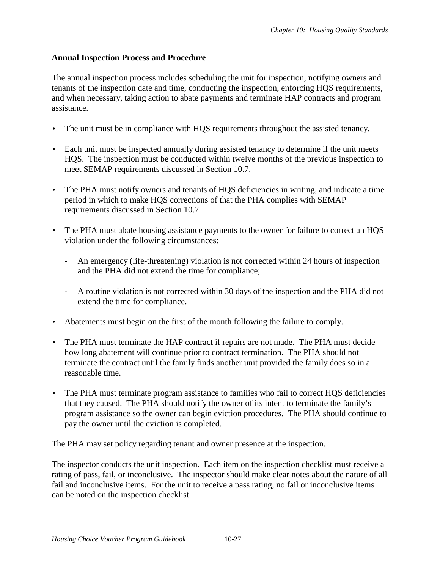### <span id="page-28-0"></span>**Annual Inspection Process and Procedure**

The annual inspection process includes scheduling the unit for inspection, notifying owners and tenants of the inspection date and time, conducting the inspection, enforcing HQS requirements, and when necessary, taking action to abate payments and terminate HAP contracts and program assistance.

- The unit must be in compliance with HQS requirements throughout the assisted tenancy.
- Each unit must be inspected annually during assisted tenancy to determine if the unit meets HQS. The inspection must be conducted within twelve months of the previous inspection to meet SEMAP requirements discussed in Section 10.7.
- The PHA must notify owners and tenants of HQS deficiencies in writing, and indicate a time period in which to make HQS corrections of that the PHA complies with SEMAP requirements discussed in Section 10.7.
- The PHA must abate housing assistance payments to the owner for failure to correct an HQS violation under the following circumstances:
	- An emergency (life-threatening) violation is not corrected within 24 hours of inspection and the PHA did not extend the time for compliance;
	- A routine violation is not corrected within 30 days of the inspection and the PHA did not extend the time for compliance.
- Abatements must begin on the first of the month following the failure to comply.
- The PHA must terminate the HAP contract if repairs are not made. The PHA must decide how long abatement will continue prior to contract termination. The PHA should not terminate the contract until the family finds another unit provided the family does so in a reasonable time.
- The PHA must terminate program assistance to families who fail to correct HQS deficiencies that they caused. The PHA should notify the owner of its intent to terminate the family's program assistance so the owner can begin eviction procedures. The PHA should continue to pay the owner until the eviction is completed.

The PHA may set policy regarding tenant and owner presence at the inspection.

The inspector conducts the unit inspection. Each item on the inspection checklist must receive a rating of pass, fail, or inconclusive. The inspector should make clear notes about the nature of all fail and inconclusive items. For the unit to receive a pass rating, no fail or inconclusive items can be noted on the inspection checklist.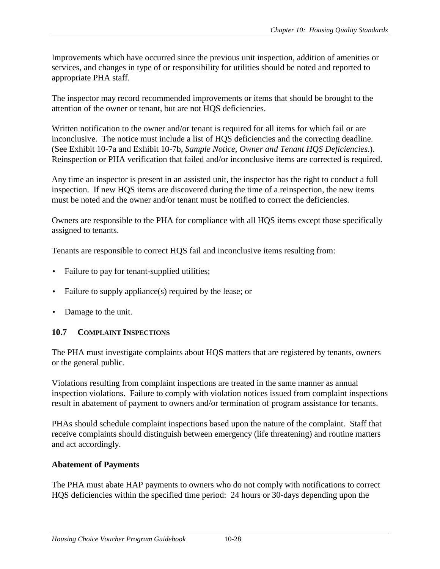<span id="page-29-0"></span>Improvements which have occurred since the previous unit inspection, addition of amenities or services, and changes in type of or responsibility for utilities should be noted and reported to appropriate PHA staff.

The inspector may record recommended improvements or items that should be brought to the attention of the owner or tenant, but are not HQS deficiencies.

Written notification to the owner and/or tenant is required for all items for which fail or are inconclusive. The notice must include a list of HQS deficiencies and the correcting deadline. (See Exhibit 10-7a and Exhibit 10-7b, *Sample Notice, Owner and Tenant HQS Deficiencies*.). Reinspection or PHA verification that failed and/or inconclusive items are corrected is required.

Any time an inspector is present in an assisted unit, the inspector has the right to conduct a full inspection. If new HQS items are discovered during the time of a reinspection, the new items must be noted and the owner and/or tenant must be notified to correct the deficiencies.

Owners are responsible to the PHA for compliance with all HQS items except those specifically assigned to tenants.

Tenants are responsible to correct HQS fail and inconclusive items resulting from:

- Failure to pay for tenant-supplied utilities;
- Failure to supply appliance(s) required by the lease; or
- Damage to the unit.

## **10.7 COMPLAINT INSPECTIONS**

The PHA must investigate complaints about HQS matters that are registered by tenants, owners or the general public.

Violations resulting from complaint inspections are treated in the same manner as annual inspection violations. Failure to comply with violation notices issued from complaint inspections result in abatement of payment to owners and/or termination of program assistance for tenants.

PHAs should schedule complaint inspections based upon the nature of the complaint. Staff that receive complaints should distinguish between emergency (life threatening) and routine matters and act accordingly.

## **Abatement of Payments**

The PHA must abate HAP payments to owners who do not comply with notifications to correct HQS deficiencies within the specified time period: 24 hours or 30-days depending upon the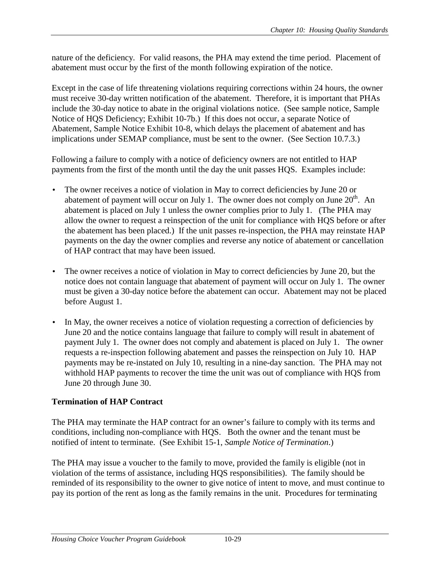<span id="page-30-0"></span>nature of the deficiency. For valid reasons, the PHA may extend the time period. Placement of abatement must occur by the first of the month following expiration of the notice.

Except in the case of life threatening violations requiring corrections within 24 hours, the owner must receive 30-day written notification of the abatement. Therefore, it is important that PHAs include the 30-day notice to abate in the original violations notice. (See sample notice, Sample Notice of HQS Deficiency; Exhibit 10-7b.) If this does not occur, a separate Notice of Abatement, Sample Notice Exhibit 10-8, which delays the placement of abatement and has implications under SEMAP compliance, must be sent to the owner. (See Section 10.7.3.)

Following a failure to comply with a notice of deficiency owners are not entitled to HAP payments from the first of the month until the day the unit passes HQS. Examples include:

- The owner receives a notice of violation in May to correct deficiencies by June 20 or abatement of payment will occur on July 1. The owner does not comply on June  $20<sup>th</sup>$ . An abatement is placed on July 1 unless the owner complies prior to July 1. (The PHA may allow the owner to request a reinspection of the unit for compliance with HQS before or after the abatement has been placed.) If the unit passes re-inspection, the PHA may reinstate HAP payments on the day the owner complies and reverse any notice of abatement or cancellation of HAP contract that may have been issued.
- The owner receives a notice of violation in May to correct deficiencies by June 20, but the notice does not contain language that abatement of payment will occur on July 1. The owner must be given a 30-day notice before the abatement can occur. Abatement may not be placed before August 1.
- In May, the owner receives a notice of violation requesting a correction of deficiencies by June 20 and the notice contains language that failure to comply will result in abatement of payment July 1. The owner does not comply and abatement is placed on July 1. The owner requests a re-inspection following abatement and passes the reinspection on July 10. HAP payments may be re-instated on July 10, resulting in a nine-day sanction. The PHA may not withhold HAP payments to recover the time the unit was out of compliance with HQS from June 20 through June 30.

# **Termination of HAP Contract**

The PHA may terminate the HAP contract for an owner's failure to comply with its terms and conditions, including non-compliance with HQS. Both the owner and the tenant must be notified of intent to terminate. (See Exhibit 15-1, *Sample Notice of Termination*.)

The PHA may issue a voucher to the family to move, provided the family is eligible (not in violation of the terms of assistance, including HQS responsibilities). The family should be reminded of its responsibility to the owner to give notice of intent to move, and must continue to pay its portion of the rent as long as the family remains in the unit. Procedures for terminating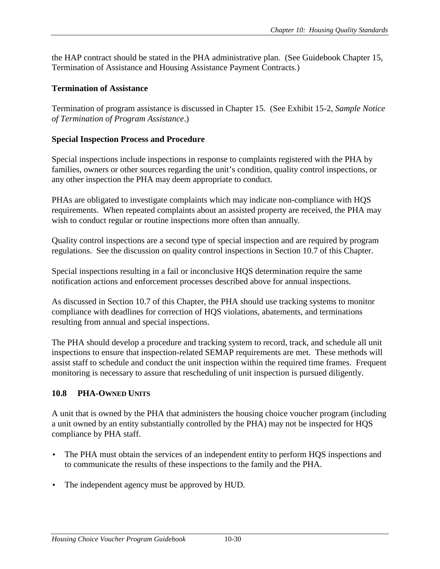<span id="page-31-0"></span>the HAP contract should be stated in the PHA administrative plan. (See Guidebook Chapter 15, Termination of Assistance and Housing Assistance Payment Contracts.)

## **Termination of Assistance**

Termination of program assistance is discussed in Chapter 15. (See Exhibit 15-2, *Sample Notice of Termination of Program Assistance*.)

## **Special Inspection Process and Procedure**

Special inspections include inspections in response to complaints registered with the PHA by families, owners or other sources regarding the unit's condition, quality control inspections, or any other inspection the PHA may deem appropriate to conduct.

PHAs are obligated to investigate complaints which may indicate non-compliance with HQS requirements. When repeated complaints about an assisted property are received, the PHA may wish to conduct regular or routine inspections more often than annually.

Quality control inspections are a second type of special inspection and are required by program regulations. See the discussion on quality control inspections in Section 10.7 of this Chapter.

Special inspections resulting in a fail or inconclusive HQS determination require the same notification actions and enforcement processes described above for annual inspections.

As discussed in Section 10.7 of this Chapter, the PHA should use tracking systems to monitor compliance with deadlines for correction of HQS violations, abatements, and terminations resulting from annual and special inspections.

The PHA should develop a procedure and tracking system to record, track, and schedule all unit inspections to ensure that inspection-related SEMAP requirements are met. These methods will assist staff to schedule and conduct the unit inspection within the required time frames. Frequent monitoring is necessary to assure that rescheduling of unit inspection is pursued diligently.

# **10.8 PHA-OWNED UNITS**

A unit that is owned by the PHA that administers the housing choice voucher program (including a unit owned by an entity substantially controlled by the PHA) may not be inspected for HQS compliance by PHA staff.

- The PHA must obtain the services of an independent entity to perform HQS inspections and to communicate the results of these inspections to the family and the PHA.
- The independent agency must be approved by HUD.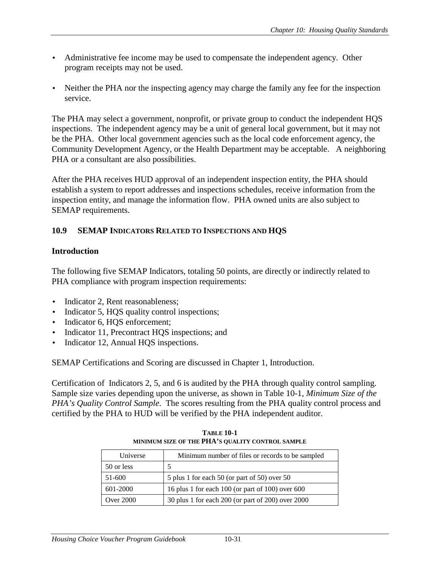- <span id="page-32-0"></span>• Administrative fee income may be used to compensate the independent agency. Other program receipts may not be used.
- Neither the PHA nor the inspecting agency may charge the family any fee for the inspection service.

The PHA may select a government, nonprofit, or private group to conduct the independent HQS inspections. The independent agency may be a unit of general local government, but it may not be the PHA. Other local government agencies such as the local code enforcement agency, the Community Development Agency, or the Health Department may be acceptable. A neighboring PHA or a consultant are also possibilities.

After the PHA receives HUD approval of an independent inspection entity, the PHA should establish a system to report addresses and inspections schedules, receive information from the inspection entity, and manage the information flow. PHA owned units are also subject to SEMAP requirements.

#### **10.9 SEMAP INDICATORS RELATED TO INSPECTIONS AND HQS**

#### **Introduction**

The following five SEMAP Indicators, totaling 50 points, are directly or indirectly related to PHA compliance with program inspection requirements:

- Indicator 2, Rent reasonableness;
- Indicator 5, HQS quality control inspections;
- Indicator 6, HQS enforcement;
- Indicator 11, Precontract HQS inspections; and
- Indicator 12, Annual HQS inspections.

SEMAP Certifications and Scoring are discussed in Chapter 1, Introduction.

Certification of Indicators 2, 5, and 6 is audited by the PHA through quality control sampling. Sample size varies depending upon the universe, as shown in Table 10-1, *Minimum Size of the PHA's Quality Control Sample*. The scores resulting from the PHA quality control process and certified by the PHA to HUD will be verified by the PHA independent auditor.

| Universe         | Minimum number of files or records to be sampled      |
|------------------|-------------------------------------------------------|
| 50 or less       |                                                       |
| 51-600           | 5 plus 1 for each 50 (or part of 50) over 50          |
| 601-2000         | 16 plus 1 for each $100$ (or part of $100$ ) over 600 |
| <b>Over 2000</b> | 30 plus 1 for each 200 (or part of 200) over 2000     |

**TABLE 10-1 MINIMUM SIZE OF THE PHA'S QUALITY CONTROL SAMPLE**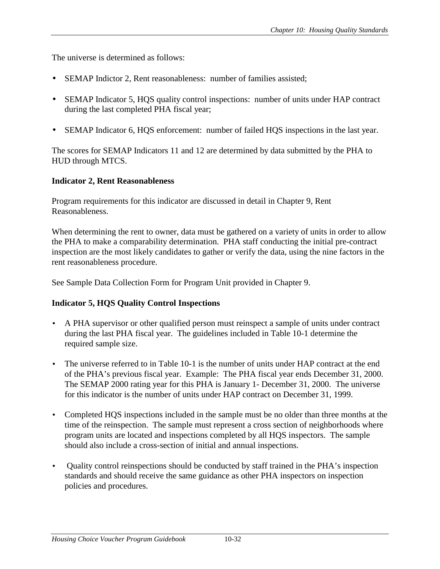<span id="page-33-0"></span>The universe is determined as follows:

- SEMAP Indictor 2, Rent reasonableness: number of families assisted;
- SEMAP Indicator 5, HQS quality control inspections: number of units under HAP contract during the last completed PHA fiscal year;
- SEMAP Indicator 6, HQS enforcement: number of failed HQS inspections in the last year.

The scores for SEMAP Indicators 11 and 12 are determined by data submitted by the PHA to HUD through MTCS.

#### **Indicator 2, Rent Reasonableness**

Program requirements for this indicator are discussed in detail in Chapter 9, Rent Reasonableness.

When determining the rent to owner, data must be gathered on a variety of units in order to allow the PHA to make a comparability determination. PHA staff conducting the initial pre-contract inspection are the most likely candidates to gather or verify the data, using the nine factors in the rent reasonableness procedure.

See Sample Data Collection Form for Program Unit provided in Chapter 9.

## **Indicator 5, HQS Quality Control Inspections**

- A PHA supervisor or other qualified person must reinspect a sample of units under contract during the last PHA fiscal year. The guidelines included in Table 10-1 determine the required sample size.
- The universe referred to in Table 10-1 is the number of units under HAP contract at the end of the PHA's previous fiscal year. Example: The PHA fiscal year ends December 31, 2000. The SEMAP 2000 rating year for this PHA is January 1- December 31, 2000. The universe for this indicator is the number of units under HAP contract on December 31, 1999.
- Completed HQS inspections included in the sample must be no older than three months at the time of the reinspection. The sample must represent a cross section of neighborhoods where program units are located and inspections completed by all HQS inspectors. The sample should also include a cross-section of initial and annual inspections.
- Quality control reinspections should be conducted by staff trained in the PHA's inspection standards and should receive the same guidance as other PHA inspectors on inspection policies and procedures.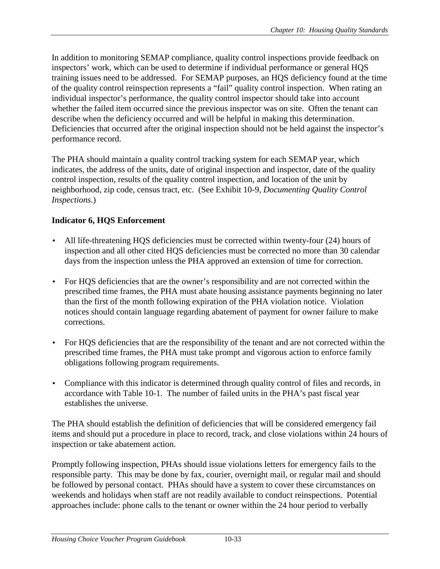<span id="page-34-0"></span>In addition to monitoring SEMAP compliance, quality control inspections provide feedback on inspectors' work, which can be used to determine if individual performance or general HQS training issues need to be addressed. For SEMAP purposes, an HQS deficiency found at the time of the quality control reinspection represents a "fail" quality control inspection. When rating an individual inspector's performance, the quality control inspector should take into account whether the failed item occurred since the previous inspector was on site. Often the tenant can describe when the deficiency occurred and will be helpful in making this determination. Deficiencies that occurred after the original inspection should not be held against the inspector's performance record.

The PHA should maintain a quality control tracking system for each SEMAP year, which indicates, the address of the units, date of original inspection and inspector, date of the quality control inspection, results of the quality control inspection, and location of the unit by neighborhood, zip code, census tract, etc. (See Exhibit 10-9, *Documenting Quality Control Inspections.*)

# **Indicator 6, HQS Enforcement**

- All life-threatening HQS deficiencies must be corrected within twenty-four (24) hours of inspection and all other cited HQS deficiencies must be corrected no more than 30 calendar days from the inspection unless the PHA approved an extension of time for correction.
- For HQS deficiencies that are the owner's responsibility and are not corrected within the prescribed time frames, the PHA must abate housing assistance payments beginning no later than the first of the month following expiration of the PHA violation notice. Violation notices should contain language regarding abatement of payment for owner failure to make corrections.
- For HQS deficiencies that are the responsibility of the tenant and are not corrected within the prescribed time frames, the PHA must take prompt and vigorous action to enforce family obligations following program requirements.
- Compliance with this indicator is determined through quality control of files and records, in accordance with Table 10-1. The number of failed units in the PHA's past fiscal year establishes the universe.

The PHA should establish the definition of deficiencies that will be considered emergency fail items and should put a procedure in place to record, track, and close violations within 24 hours of inspection or take abatement action.

Promptly following inspection, PHAs should issue violations letters for emergency fails to the responsible party. This may be done by fax, courier, overnight mail, or regular mail and should be followed by personal contact. PHAs should have a system to cover these circumstances on weekends and holidays when staff are not readily available to conduct reinspections. Potential approaches include: phone calls to the tenant or owner within the 24 hour period to verbally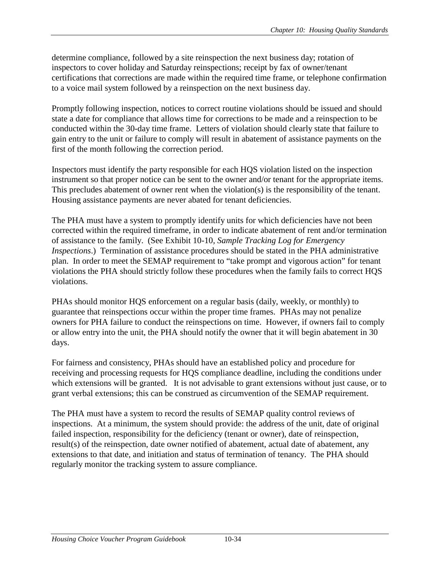determine compliance, followed by a site reinspection the next business day; rotation of inspectors to cover holiday and Saturday reinspections; receipt by fax of owner/tenant certifications that corrections are made within the required time frame, or telephone confirmation to a voice mail system followed by a reinspection on the next business day.

Promptly following inspection, notices to correct routine violations should be issued and should state a date for compliance that allows time for corrections to be made and a reinspection to be conducted within the 30-day time frame. Letters of violation should clearly state that failure to gain entry to the unit or failure to comply will result in abatement of assistance payments on the first of the month following the correction period.

Inspectors must identify the party responsible for each HQS violation listed on the inspection instrument so that proper notice can be sent to the owner and/or tenant for the appropriate items. This precludes abatement of owner rent when the violation(s) is the responsibility of the tenant. Housing assistance payments are never abated for tenant deficiencies.

The PHA must have a system to promptly identify units for which deficiencies have not been corrected within the required timeframe, in order to indicate abatement of rent and/or termination of assistance to the family. (See Exhibit 10-10*, Sample Tracking Log for Emergency Inspections*.) Termination of assistance procedures should be stated in the PHA administrative plan. In order to meet the SEMAP requirement to "take prompt and vigorous action" for tenant violations the PHA should strictly follow these procedures when the family fails to correct HQS violations.

PHAs should monitor HQS enforcement on a regular basis (daily, weekly, or monthly) to guarantee that reinspections occur within the proper time frames. PHAs may not penalize owners for PHA failure to conduct the reinspections on time. However, if owners fail to comply or allow entry into the unit, the PHA should notify the owner that it will begin abatement in 30 days.

For fairness and consistency, PHAs should have an established policy and procedure for receiving and processing requests for HQS compliance deadline, including the conditions under which extensions will be granted. It is not advisable to grant extensions without just cause, or to grant verbal extensions; this can be construed as circumvention of the SEMAP requirement.

The PHA must have a system to record the results of SEMAP quality control reviews of inspections. At a minimum, the system should provide: the address of the unit, date of original failed inspection, responsibility for the deficiency (tenant or owner), date of reinspection, result(s) of the reinspection, date owner notified of abatement, actual date of abatement, any extensions to that date, and initiation and status of termination of tenancy. The PHA should regularly monitor the tracking system to assure compliance.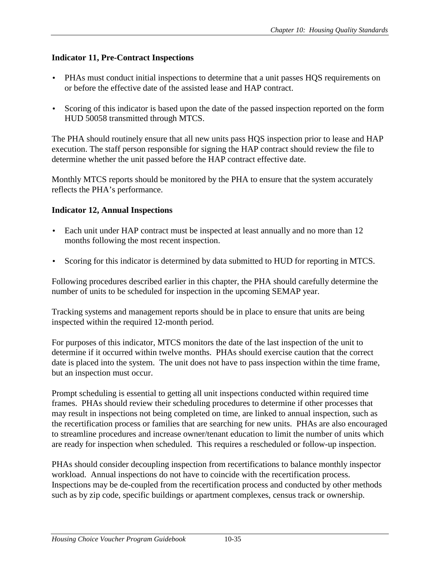## <span id="page-36-0"></span>**Indicator 11, Pre-Contract Inspections**

- PHAs must conduct initial inspections to determine that a unit passes HQS requirements on or before the effective date of the assisted lease and HAP contract.
- Scoring of this indicator is based upon the date of the passed inspection reported on the form HUD 50058 transmitted through MTCS.

The PHA should routinely ensure that all new units pass HQS inspection prior to lease and HAP execution. The staff person responsible for signing the HAP contract should review the file to determine whether the unit passed before the HAP contract effective date.

Monthly MTCS reports should be monitored by the PHA to ensure that the system accurately reflects the PHA's performance.

## **Indicator 12, Annual Inspections**

- Each unit under HAP contract must be inspected at least annually and no more than 12 months following the most recent inspection.
- Scoring for this indicator is determined by data submitted to HUD for reporting in MTCS.

Following procedures described earlier in this chapter, the PHA should carefully determine the number of units to be scheduled for inspection in the upcoming SEMAP year.

Tracking systems and management reports should be in place to ensure that units are being inspected within the required 12-month period.

For purposes of this indicator, MTCS monitors the date of the last inspection of the unit to determine if it occurred within twelve months. PHAs should exercise caution that the correct date is placed into the system. The unit does not have to pass inspection within the time frame, but an inspection must occur.

Prompt scheduling is essential to getting all unit inspections conducted within required time frames. PHAs should review their scheduling procedures to determine if other processes that may result in inspections not being completed on time, are linked to annual inspection, such as the recertification process or families that are searching for new units. PHAs are also encouraged to streamline procedures and increase owner/tenant education to limit the number of units which are ready for inspection when scheduled. This requires a rescheduled or follow-up inspection.

PHAs should consider decoupling inspection from recertifications to balance monthly inspector workload. Annual inspections do not have to coincide with the recertification process. Inspections may be de-coupled from the recertification process and conducted by other methods such as by zip code, specific buildings or apartment complexes, census track or ownership.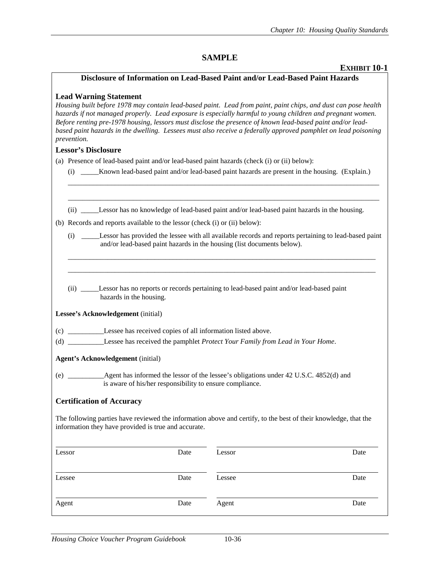#### **SAMPLE**

#### **EXHIBIT 10-1**

#### **Disclosure of Information on Lead-Based Paint and/or Lead-Based Paint Hazards**

#### **Lead Warning Statement**

*Housing built before 1978 may contain lead-based paint. Lead from paint, paint chips, and dust can pose health hazards if not managed properly. Lead exposure is especially harmful to young children and pregnant women. Before renting pre-1978 housing, lessors must disclose the presence of known lead-based paint and/or leadbased paint hazards in the dwelling. Lessees must also receive a federally approved pamphlet on lead poisoning prevention.* 

#### **Lessor's Disclosure**

| (a) Presence of lead-based paint and/or lead-based paint hazards (check (i) or (ii) below): |  |  |  |
|---------------------------------------------------------------------------------------------|--|--|--|
|                                                                                             |  |  |  |

| (i) | Known lead-based paint and/or lead-based paint hazards are present in the housing. (Explain.) |  |  |
|-----|-----------------------------------------------------------------------------------------------|--|--|
|     |                                                                                               |  |  |

\_\_\_\_\_\_\_\_\_\_\_\_\_\_\_\_\_\_\_\_\_\_\_\_\_\_\_\_\_\_\_\_\_\_\_\_\_\_\_\_\_\_\_\_\_\_\_\_\_\_\_\_\_\_\_\_\_\_\_\_\_\_\_\_\_\_\_\_\_\_\_\_\_\_\_\_\_\_\_\_\_\_\_\_\_\_

\_\_\_\_\_\_\_\_\_\_\_\_\_\_\_\_\_\_\_\_\_\_\_\_\_\_\_\_\_\_\_\_\_\_\_\_\_\_\_\_\_\_\_\_\_\_\_\_\_\_\_\_\_\_\_\_\_\_\_\_\_\_\_\_\_\_\_\_\_\_\_\_\_\_\_\_\_\_\_\_\_\_\_\_\_\_

(ii) \_\_\_\_\_Lessor has no knowledge of lead-based paint and/or lead-based paint hazards in the housing.

| (i) | Lessor has provided the lessee with all available records and reports pertaining to lead-based paint |
|-----|------------------------------------------------------------------------------------------------------|
|     | and/or lead-based paint hazards in the housing (list documents below).                               |

\_\_\_\_\_\_\_\_\_\_\_\_\_\_\_\_\_\_\_\_\_\_\_\_\_\_\_\_\_\_\_\_\_\_\_\_\_\_\_\_\_\_\_\_\_\_\_\_\_\_\_\_\_\_\_\_\_\_\_\_\_\_\_\_\_\_\_\_\_\_\_\_\_\_\_\_\_\_\_\_\_\_\_\_\_ \_\_\_\_\_\_\_\_\_\_\_\_\_\_\_\_\_\_\_\_\_\_\_\_\_\_\_\_\_\_\_\_\_\_\_\_\_\_\_\_\_\_\_\_\_\_\_\_\_\_\_\_\_\_\_\_\_\_\_\_\_\_\_\_\_\_\_\_\_\_\_\_\_\_\_\_\_\_\_\_\_\_\_\_\_

 (ii) \_\_\_\_\_Lessor has no reports or records pertaining to lead-based paint and/or lead-based paint hazards in the housing.

**Lessee's Acknowledgement** (initial)

- (c) \_\_\_\_\_\_\_\_\_\_Lessee has received copies of all information listed above.
- (d) \_\_\_\_\_\_\_\_\_\_Lessee has received the pamphlet *Protect Your Family from Lead in Your Home*.

#### **Agent's Acknowledgement** (initial)

(e) \_\_\_\_\_\_\_\_\_\_Agent has informed the lessor of the lessee's obligations under 42 U.S.C. 4852(d) and is aware of his/her responsibility to ensure compliance.

#### **Certification of Accuracy**

The following parties have reviewed the information above and certify, to the best of their knowledge, that the information they have provided is true and accurate.

| Lessor | Date | Lessor | Date |
|--------|------|--------|------|
| Lessee | Date | Lessee | Date |
| Agent  | Date | Agent  | Date |

<sup>(</sup>b) Records and reports available to the lessor (check (i) or (ii) below):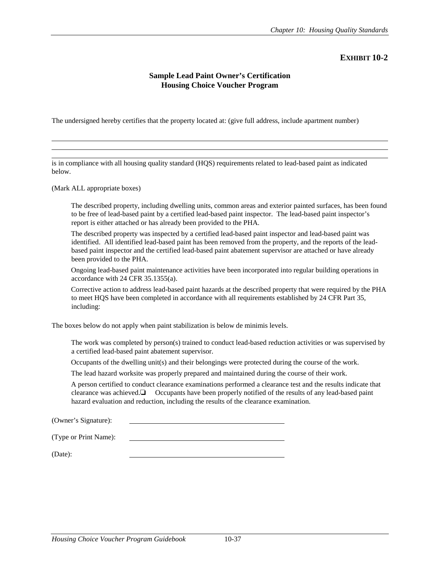#### **Sample Lead Paint Owner's Certification Housing Choice Voucher Program**

The undersigned hereby certifies that the property located at: (give full address, include apartment number)

is in compliance with all housing quality standard (HQS) requirements related to lead-based paint as indicated below.

(Mark ALL appropriate boxes)

l  $\overline{a}$ 

> The described property, including dwelling units, common areas and exterior painted surfaces, has been found to be free of lead-based paint by a certified lead-based paint inspector. The lead-based paint inspector's report is either attached or has already been provided to the PHA.

 The described property was inspected by a certified lead-based paint inspector and lead-based paint was identified. All identified lead-based paint has been removed from the property, and the reports of the leadbased paint inspector and the certified lead-based paint abatement supervisor are attached or have already been provided to the PHA.

 Ongoing lead-based paint maintenance activities have been incorporated into regular building operations in accordance with 24 CFR 35.1355(a).

 Corrective action to address lead-based paint hazards at the described property that were required by the PHA to meet HQS have been completed in accordance with all requirements established by 24 CFR Part 35, including:

The boxes below do not apply when paint stabilization is below de minimis levels.

 The work was completed by person(s) trained to conduct lead-based reduction activities or was supervised by a certified lead-based paint abatement supervisor.

Occupants of the dwelling unit(s) and their belongings were protected during the course of the work.

The lead hazard worksite was properly prepared and maintained during the course of their work.

 A person certified to conduct clearance examinations performed a clearance test and the results indicate that clearance was achieved.❏ Occupants have been properly notified of the results of any lead-based paint hazard evaluation and reduction, including the results of the clearance examination.

(Owner's Signature):

(Type or Print Name):

(Date):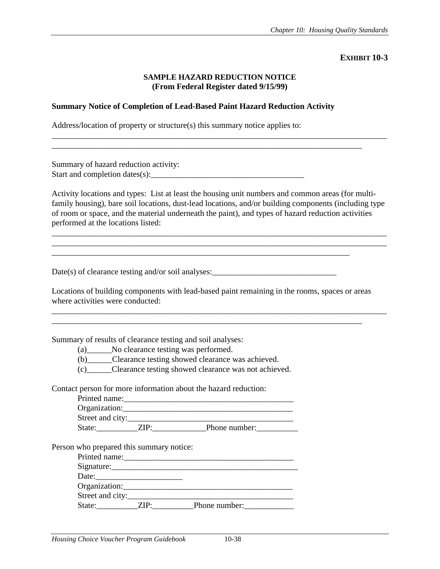#### **SAMPLE HAZARD REDUCTION NOTICE (From Federal Register dated 9/15/99)**

\_\_\_\_\_\_\_\_\_\_\_\_\_\_\_\_\_\_\_\_\_\_\_\_\_\_\_\_\_\_\_\_\_\_\_\_\_\_\_\_\_\_\_\_\_\_\_\_\_\_\_\_\_\_\_\_\_\_\_\_\_\_\_\_\_\_\_\_\_\_\_\_\_\_\_\_\_\_\_\_\_

\_\_\_\_\_\_\_\_\_\_\_\_\_\_\_\_\_\_\_\_\_\_\_\_\_\_\_\_\_\_\_\_\_\_\_\_\_\_\_\_\_\_\_\_\_\_\_\_\_\_\_\_\_\_\_\_\_\_\_\_\_\_\_\_\_\_\_\_\_\_\_\_\_\_\_

#### **Summary Notice of Completion of Lead-Based Paint Hazard Reduction Activity**

Address/location of property or structure(s) this summary notice applies to:

Summary of hazard reduction activity: Start and completion dates $(s)$ :

Activity locations and types: List at least the housing unit numbers and common areas (for multifamily housing), bare soil locations, dust-lead locations, and/or building components (including type of room or space, and the material underneath the paint), and types of hazard reduction activities performed at the locations listed:

\_\_\_\_\_\_\_\_\_\_\_\_\_\_\_\_\_\_\_\_\_\_\_\_\_\_\_\_\_\_\_\_\_\_\_\_\_\_\_\_\_\_\_\_\_\_\_\_\_\_\_\_\_\_\_\_\_\_\_\_\_\_\_\_\_\_\_\_\_\_\_\_\_\_\_\_\_\_\_\_\_ \_\_\_\_\_\_\_\_\_\_\_\_\_\_\_\_\_\_\_\_\_\_\_\_\_\_\_\_\_\_\_\_\_\_\_\_\_\_\_\_\_\_\_\_\_\_\_\_\_\_\_\_\_\_\_\_\_\_\_\_\_\_\_\_\_\_\_\_\_\_\_\_\_\_\_\_\_\_\_\_\_

Date(s) of clearance testing and/or soil analyses:  $\frac{1}{2}$ 

Locations of building components with lead-based paint remaining in the rooms, spaces or areas where activities were conducted:

\_\_\_\_\_\_\_\_\_\_\_\_\_\_\_\_\_\_\_\_\_\_\_\_\_\_\_\_\_\_\_\_\_\_\_\_\_\_\_\_\_\_\_\_\_\_\_\_\_\_\_\_\_\_\_\_\_\_\_\_\_\_\_\_\_\_\_\_\_\_\_\_\_\_\_

\_\_\_\_\_\_\_\_\_\_\_\_\_\_\_\_\_\_\_\_\_\_\_\_\_\_\_\_\_\_\_\_\_\_\_\_\_\_\_\_\_\_\_\_\_\_\_\_\_\_\_\_\_\_\_\_\_\_\_\_\_\_\_\_\_\_\_\_\_\_\_\_\_\_\_\_\_\_\_\_\_

\_\_\_\_\_\_\_\_\_\_\_\_\_\_\_\_\_\_\_\_\_\_\_\_\_\_\_\_\_\_\_\_\_\_\_\_\_\_\_\_\_\_\_\_\_\_\_\_\_\_\_\_\_\_\_\_\_\_\_\_\_\_\_\_\_\_\_\_\_\_\_\_

Summary of results of clearance testing and soil analyses:

(a)\_\_\_\_\_\_No clearance testing was performed.

(b)\_\_\_\_\_\_Clearance testing showed clearance was achieved.

(c)\_\_\_\_\_\_Clearance testing showed clearance was not achieved.

Contact person for more information about the hazard reduction:

| Printed name:    |     |               |
|------------------|-----|---------------|
| Organization:    |     |               |
| Street and city: |     |               |
| State:           | пэ. | Phone number: |

Person who prepared this summary notice:

| Printed name:    |                    |               |
|------------------|--------------------|---------------|
| $Sigma$ :        |                    |               |
|                  | Date: <u>Date:</u> |               |
|                  | Organization:      |               |
| Street and city: |                    |               |
| State:           | TD.                | Phone number: |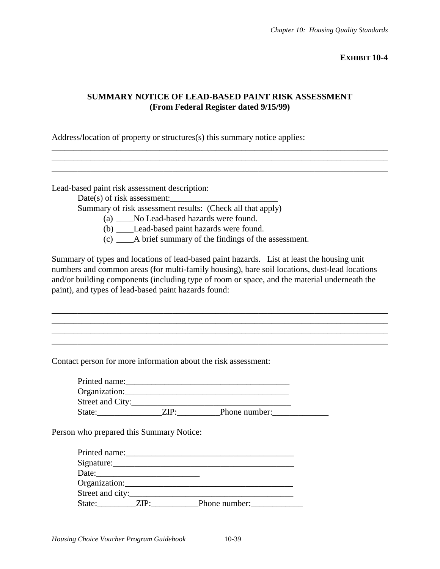### **SUMMARY NOTICE OF LEAD-BASED PAINT RISK ASSESSMENT (From Federal Register dated 9/15/99)**

\_\_\_\_\_\_\_\_\_\_\_\_\_\_\_\_\_\_\_\_\_\_\_\_\_\_\_\_\_\_\_\_\_\_\_\_\_\_\_\_\_\_\_\_\_\_\_\_\_\_\_\_\_\_\_\_\_\_\_\_\_\_\_\_\_\_\_\_\_\_\_\_\_\_\_\_\_\_ \_\_\_\_\_\_\_\_\_\_\_\_\_\_\_\_\_\_\_\_\_\_\_\_\_\_\_\_\_\_\_\_\_\_\_\_\_\_\_\_\_\_\_\_\_\_\_\_\_\_\_\_\_\_\_\_\_\_\_\_\_\_\_\_\_\_\_\_\_\_\_\_\_\_\_\_\_\_ \_\_\_\_\_\_\_\_\_\_\_\_\_\_\_\_\_\_\_\_\_\_\_\_\_\_\_\_\_\_\_\_\_\_\_\_\_\_\_\_\_\_\_\_\_\_\_\_\_\_\_\_\_\_\_\_\_\_\_\_\_\_\_\_\_\_\_\_\_\_\_\_\_\_\_\_\_\_

Address/location of property or structures(s) this summary notice applies:

Lead-based paint risk assessment description:

Date(s) of risk assessment:

Summary of risk assessment results: (Check all that apply)

(a) \_\_\_\_No Lead-based hazards were found.

(b) \_\_\_\_Lead-based paint hazards were found.

(c) \_\_\_\_A brief summary of the findings of the assessment.

Summary of types and locations of lead-based paint hazards. List at least the housing unit numbers and common areas (for multi-family housing), bare soil locations, dust-lead locations and/or building components (including type of room or space, and the material underneath the paint), and types of lead-based paint hazards found:

\_\_\_\_\_\_\_\_\_\_\_\_\_\_\_\_\_\_\_\_\_\_\_\_\_\_\_\_\_\_\_\_\_\_\_\_\_\_\_\_\_\_\_\_\_\_\_\_\_\_\_\_\_\_\_\_\_\_\_\_\_\_\_\_\_\_\_\_\_\_\_\_\_\_\_\_\_\_ \_\_\_\_\_\_\_\_\_\_\_\_\_\_\_\_\_\_\_\_\_\_\_\_\_\_\_\_\_\_\_\_\_\_\_\_\_\_\_\_\_\_\_\_\_\_\_\_\_\_\_\_\_\_\_\_\_\_\_\_\_\_\_\_\_\_\_\_\_\_\_\_\_\_\_\_\_\_ \_\_\_\_\_\_\_\_\_\_\_\_\_\_\_\_\_\_\_\_\_\_\_\_\_\_\_\_\_\_\_\_\_\_\_\_\_\_\_\_\_\_\_\_\_\_\_\_\_\_\_\_\_\_\_\_\_\_\_\_\_\_\_\_\_\_\_\_\_\_\_\_\_\_\_\_\_\_

Contact person for more information about the risk assessment:

| Printed name:    |     |               |  |
|------------------|-----|---------------|--|
| Organization:    |     |               |  |
| Street and City: |     |               |  |
| State:           | rp. | Phone number: |  |

Person who prepared this Summary Notice:

| Printed name:    |               |
|------------------|---------------|
| Signature:       |               |
| Date:            |               |
| Organization:    |               |
| Street and city: |               |
| State:           | Phone number: |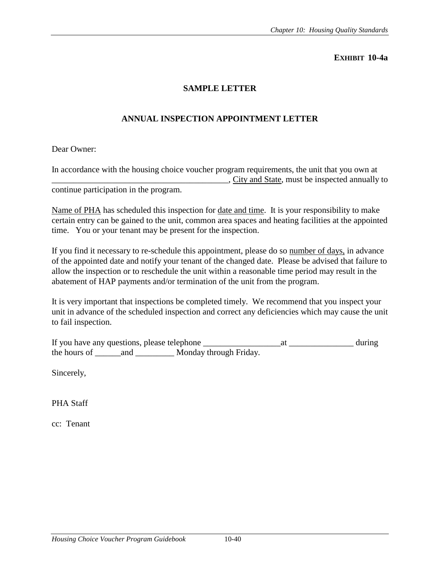### **SAMPLE LETTER**

## **ANNUAL INSPECTION APPOINTMENT LETTER**

Dear Owner:

In accordance with the housing choice voucher program requirements, the unit that you own at \_\_\_\_\_\_\_\_\_\_\_\_\_\_\_\_\_\_\_\_\_\_\_\_\_\_\_\_\_\_\_\_\_\_\_\_\_\_\_\_\_, City and State, must be inspected annually to continue participation in the program.

Name of PHA has scheduled this inspection for date and time. It is your responsibility to make certain entry can be gained to the unit, common area spaces and heating facilities at the appointed time. You or your tenant may be present for the inspection.

If you find it necessary to re-schedule this appointment, please do so number of days, in advance of the appointed date and notify your tenant of the changed date. Please be advised that failure to allow the inspection or to reschedule the unit within a reasonable time period may result in the abatement of HAP payments and/or termination of the unit from the program.

It is very important that inspections be completed timely. We recommend that you inspect your unit in advance of the scheduled inspection and correct any deficiencies which may cause the unit to fail inspection.

| If you have any questions, please telephone |     |                        | during |
|---------------------------------------------|-----|------------------------|--------|
| the hours of                                | and | Monday through Friday. |        |

Sincerely,

PHA Staff

cc: Tenant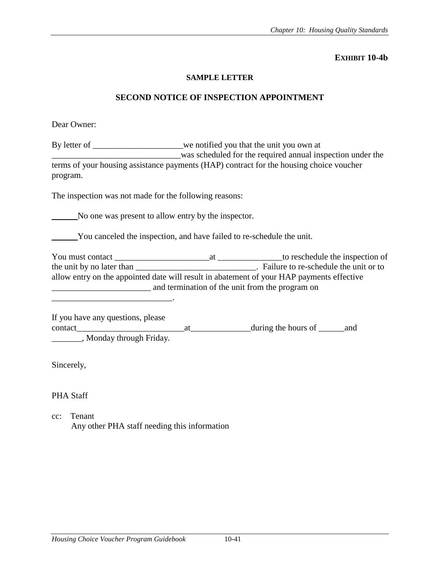#### **SAMPLE LETTER**

#### **SECOND NOTICE OF INSPECTION APPOINTMENT**

Dear Owner:

By letter of \_\_\_\_\_\_\_\_\_\_\_\_\_\_\_\_we notified you that the unit you own at was scheduled for the required annual inspection under the terms of your housing assistance payments (HAP) contract for the housing choice voucher program.

The inspection was not made for the following reasons:

\_\_\_\_\_\_No one was present to allow entry by the inspector.

\_\_\_\_\_\_You canceled the inspection, and have failed to re-schedule the unit.

You must contact \_\_\_\_\_\_\_\_\_\_\_\_\_\_\_\_\_\_\_\_\_\_at \_\_\_\_\_\_\_\_\_\_\_\_\_\_\_to reschedule the inspection of the unit by no later than \_\_\_\_\_\_\_\_\_\_\_\_\_\_\_\_\_\_\_\_\_\_\_\_\_\_\_\_\_\_\_. Failure to re-schedule the unit or to allow entry on the appointed date will result in abatement of your HAP payments effective \_\_\_\_\_\_\_\_\_\_\_\_\_\_\_\_\_\_\_\_\_\_\_ and termination of the unit from the program on

\_\_\_\_\_\_\_\_\_\_\_\_\_\_\_\_\_\_\_\_\_\_\_\_\_\_\_\_.

If you have any questions, please contact\_\_\_\_\_\_\_\_\_\_\_\_\_\_\_\_\_\_\_\_\_\_\_\_\_at\_\_\_\_\_\_\_\_\_\_\_\_\_\_during the hours of \_\_\_\_\_\_and \_\_\_\_\_\_\_, Monday through Friday.

Sincerely,

PHA Staff

cc: Tenant Any other PHA staff needing this information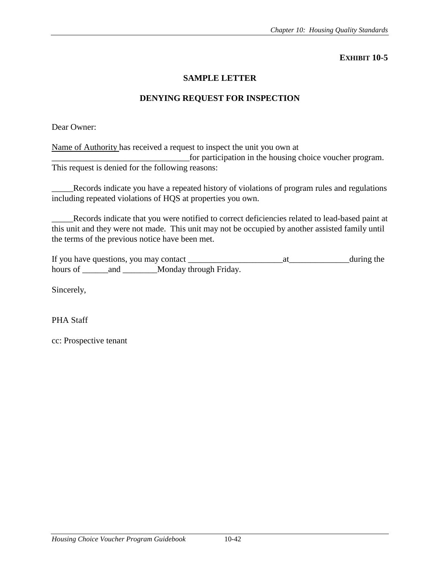### **SAMPLE LETTER**

### **DENYING REQUEST FOR INSPECTION**

Dear Owner:

Name of Authority has received a request to inspect the unit you own at \_\_\_\_\_\_\_\_\_\_\_\_\_\_\_\_\_\_\_\_\_\_\_\_\_\_\_\_\_\_\_\_for participation in the housing choice voucher program. This request is denied for the following reasons:

\_\_\_\_\_Records indicate you have a repeated history of violations of program rules and regulations including repeated violations of HQS at properties you own.

\_\_\_\_\_Records indicate that you were notified to correct deficiencies related to lead-based paint at this unit and they were not made. This unit may not be occupied by another assisted family until the terms of the previous notice have been met.

If you have questions, you may contact \_\_\_\_\_\_\_\_\_\_\_\_\_\_\_\_\_\_\_\_\_\_at\_\_\_\_\_\_\_\_\_\_\_\_\_\_during the hours of \_\_\_\_\_\_\_and \_\_\_\_\_\_\_Monday through Friday.

Sincerely,

PHA Staff

cc: Prospective tenant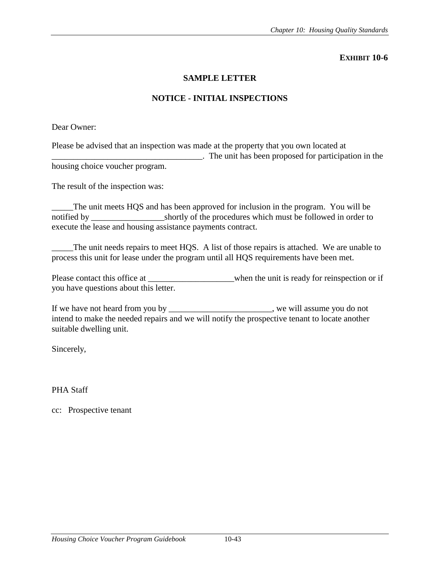### **SAMPLE LETTER**

### **NOTICE - INITIAL INSPECTIONS**

Dear Owner:

Please be advised that an inspection was made at the property that you own located at \_\_\_\_\_\_\_\_\_\_\_\_\_\_\_\_\_\_\_\_\_\_\_\_\_\_\_\_\_\_\_\_\_\_\_. The unit has been proposed for participation in the housing choice voucher program.

The result of the inspection was:

The unit meets HQS and has been approved for inclusion in the program. You will be notified by \_\_\_\_\_\_\_\_\_\_\_\_\_\_\_\_\_\_\_\_\_\_\_shortly of the procedures which must be followed in order to execute the lease and housing assistance payments contract.

The unit needs repairs to meet HQS. A list of those repairs is attached. We are unable to process this unit for lease under the program until all HQS requirements have been met.

Please contact this office at \_\_\_\_\_\_\_\_\_\_\_\_\_\_\_\_when the unit is ready for reinspection or if you have questions about this letter.

If we have not heard from you by we will assume you do not intend to make the needed repairs and we will notify the prospective tenant to locate another suitable dwelling unit.

Sincerely,

PHA Staff

cc: Prospective tenant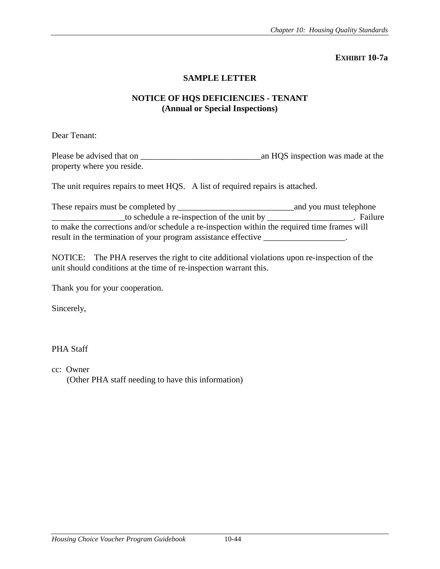### **SAMPLE LETTER**

## **NOTICE OF HQS DEFICIENCIES - TENANT (Annual or Special Inspections)**

Dear Tenant:

Please be advised that on \_\_\_\_\_\_\_\_\_\_\_\_\_\_\_\_\_\_\_\_\_\_\_\_\_\_\_\_an HQS inspection was made at the property where you reside.

The unit requires repairs to meet HQS. A list of required repairs is attached.

| These repairs must be completed by $\overline{\phantom{a}}$                                  | and you must telephone |
|----------------------------------------------------------------------------------------------|------------------------|
|                                                                                              | <b>Failure</b>         |
| to make the corrections and/or schedule a re-inspection within the required time frames will |                        |
| result in the termination of your program assistance effective                               |                        |

NOTICE: The PHA reserves the right to cite additional violations upon re-inspection of the unit should conditions at the time of re-inspection warrant this.

Thank you for your cooperation.

Sincerely,

### PHA Staff

cc: Owner (Other PHA staff needing to have this information)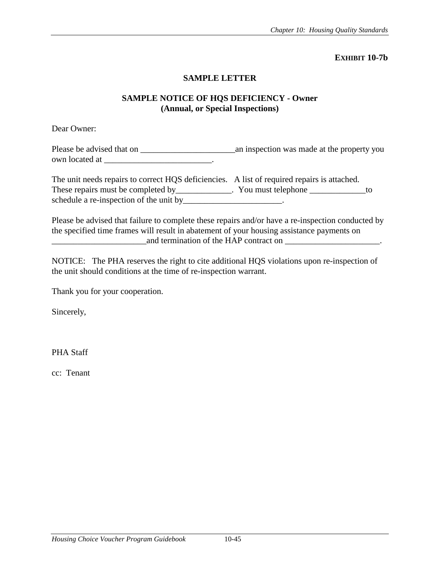#### **SAMPLE LETTER**

### **SAMPLE NOTICE OF HQS DEFICIENCY - Owner (Annual, or Special Inspections)**

Dear Owner:

Please be advised that on \_\_\_\_\_\_\_\_\_\_\_\_\_\_\_\_\_\_\_\_\_\_an inspection was made at the property you own located at \_\_\_\_\_\_\_\_\_\_\_\_\_\_\_\_\_\_\_\_\_\_\_\_\_\_\_\_\_.

The unit needs repairs to correct HQS deficiencies. A list of required repairs is attached. These repairs must be completed by These repairs must be completed by Tou must telephone Theorem To schedule a re-inspection of the unit by \_\_\_\_\_\_\_\_\_\_\_\_\_\_\_\_\_.

Please be advised that failure to complete these repairs and/or have a re-inspection conducted by the specified time frames will result in abatement of your housing assistance payments on and termination of the HAP contract on \_\_\_\_\_\_\_\_\_\_\_\_\_\_\_\_\_\_\_\_\_\_\_\_.

NOTICE: The PHA reserves the right to cite additional HQS violations upon re-inspection of the unit should conditions at the time of re-inspection warrant.

Thank you for your cooperation.

Sincerely,

PHA Staff

cc: Tenant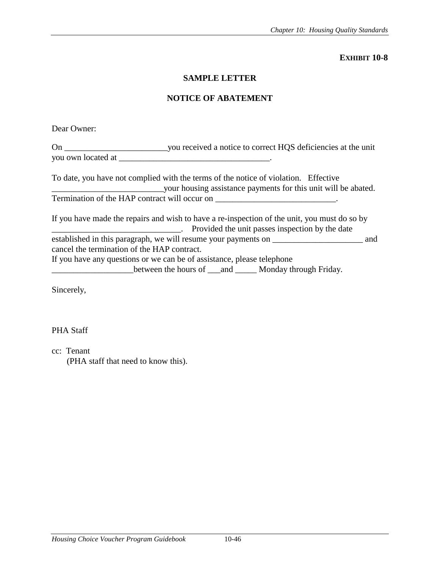## **SAMPLE LETTER**

## **NOTICE OF ABATEMENT**

| Dear Owner:                                 |                                                                                                                                                                    |  |
|---------------------------------------------|--------------------------------------------------------------------------------------------------------------------------------------------------------------------|--|
|                                             |                                                                                                                                                                    |  |
|                                             |                                                                                                                                                                    |  |
|                                             | To date, you have not complied with the terms of the notice of violation. Effective                                                                                |  |
|                                             | Termination of the HAP contract will occur on _________________________________.                                                                                   |  |
|                                             | If you have made the repairs and wish to have a re-inspection of the unit, you must do so by<br><u>Example 2</u> . Provided the unit passes inspection by the date |  |
| cancel the termination of the HAP contract. | established in this paragraph, we will resume your payments on __________________<br>and                                                                           |  |
|                                             | If you have any questions or we can be of assistance, please telephone                                                                                             |  |
|                                             | between the hours of __and _____ Monday through Friday.                                                                                                            |  |

Sincerely,

PHA Staff

cc: Tenant

(PHA staff that need to know this).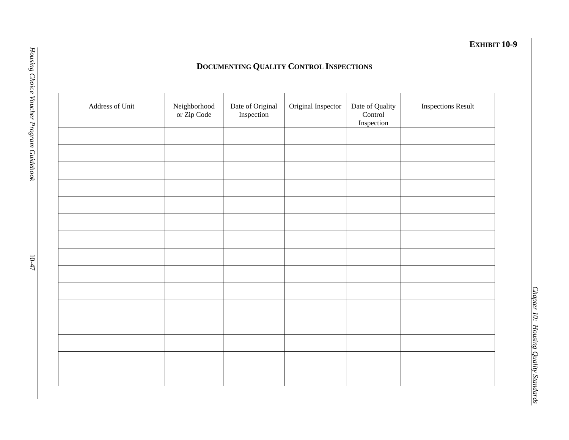# **DOCUMENTING QUALITY CONTROL INSPECTIONS**

| Address of Unit | ${\bf Neighbourhood}$<br>or Zip Code | Date of Original<br>Inspection | Original Inspector | Date of Quality<br>Control<br>Inspection | <b>Inspections Result</b> |
|-----------------|--------------------------------------|--------------------------------|--------------------|------------------------------------------|---------------------------|
|                 |                                      |                                |                    |                                          |                           |
|                 |                                      |                                |                    |                                          |                           |
|                 |                                      |                                |                    |                                          |                           |
|                 |                                      |                                |                    |                                          |                           |
|                 |                                      |                                |                    |                                          |                           |
|                 |                                      |                                |                    |                                          |                           |
|                 |                                      |                                |                    |                                          |                           |
|                 |                                      |                                |                    |                                          |                           |
|                 |                                      |                                |                    |                                          |                           |
|                 |                                      |                                |                    |                                          |                           |
|                 |                                      |                                |                    |                                          |                           |
|                 |                                      |                                |                    |                                          |                           |
|                 |                                      |                                |                    |                                          |                           |
|                 |                                      |                                |                    |                                          |                           |
|                 |                                      |                                |                    |                                          |                           |